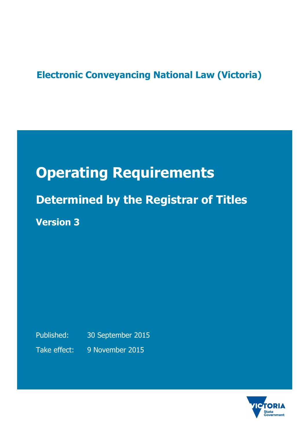# **Electronic Conveyancing National Law (Victoria)**

# **Operating Requirements**

**Determined by the Registrar of Titles Version 3**

Published: 30 September 2015 Take effect: 9 November 2015

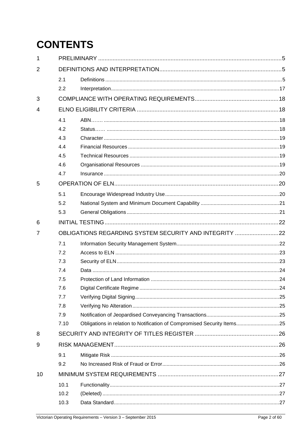# **CONTENTS**

| 1  |                                                        |                                                                         |  |  |  |  |
|----|--------------------------------------------------------|-------------------------------------------------------------------------|--|--|--|--|
| 2  |                                                        |                                                                         |  |  |  |  |
|    | 2.1                                                    |                                                                         |  |  |  |  |
|    | 2.2                                                    |                                                                         |  |  |  |  |
| 3  |                                                        |                                                                         |  |  |  |  |
| 4  |                                                        |                                                                         |  |  |  |  |
|    | 4.1                                                    |                                                                         |  |  |  |  |
|    | 4.2                                                    |                                                                         |  |  |  |  |
|    | 4.3                                                    |                                                                         |  |  |  |  |
|    | 4.4                                                    |                                                                         |  |  |  |  |
|    | 4.5                                                    |                                                                         |  |  |  |  |
|    | 4.6                                                    |                                                                         |  |  |  |  |
|    | 4.7                                                    |                                                                         |  |  |  |  |
| 5  |                                                        |                                                                         |  |  |  |  |
|    | 5.1                                                    |                                                                         |  |  |  |  |
|    | 5.2                                                    |                                                                         |  |  |  |  |
|    | 5.3                                                    |                                                                         |  |  |  |  |
| 6  |                                                        |                                                                         |  |  |  |  |
| 7  | OBLIGATIONS REGARDING SYSTEM SECURITY AND INTEGRITY 22 |                                                                         |  |  |  |  |
|    | 7.1                                                    |                                                                         |  |  |  |  |
|    | 7.2                                                    |                                                                         |  |  |  |  |
|    | 7.3                                                    |                                                                         |  |  |  |  |
|    | 7.4                                                    |                                                                         |  |  |  |  |
|    | 7.5                                                    |                                                                         |  |  |  |  |
|    | 7.6                                                    |                                                                         |  |  |  |  |
|    | 7.7                                                    |                                                                         |  |  |  |  |
|    | 7.8                                                    |                                                                         |  |  |  |  |
|    | 7.9                                                    |                                                                         |  |  |  |  |
|    | 7.10                                                   | Obligations in relation to Notification of Compromised Security Items25 |  |  |  |  |
| 8  |                                                        |                                                                         |  |  |  |  |
| 9  |                                                        |                                                                         |  |  |  |  |
|    | 9.1                                                    |                                                                         |  |  |  |  |
|    | 9.2                                                    |                                                                         |  |  |  |  |
| 10 |                                                        |                                                                         |  |  |  |  |
|    | 10.1                                                   |                                                                         |  |  |  |  |
|    | 10.2                                                   |                                                                         |  |  |  |  |
|    | 10.3                                                   |                                                                         |  |  |  |  |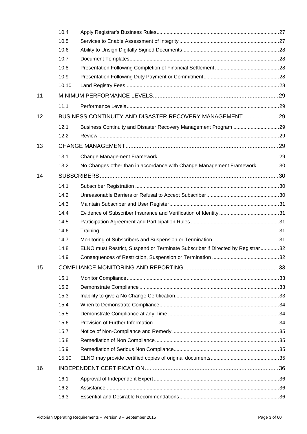|    | 10.4  |                                                                                |  |
|----|-------|--------------------------------------------------------------------------------|--|
|    | 10.5  |                                                                                |  |
|    | 10.6  |                                                                                |  |
|    | 10.7  |                                                                                |  |
|    | 10.8  |                                                                                |  |
|    | 10.9  |                                                                                |  |
|    | 10.10 |                                                                                |  |
| 11 |       |                                                                                |  |
|    | 11.1  |                                                                                |  |
| 12 |       | BUSINESS CONTINUITY AND DISASTER RECOVERY MANAGEMENT29                         |  |
|    | 12.1  |                                                                                |  |
|    | 12.2  |                                                                                |  |
| 13 |       |                                                                                |  |
|    | 13.1  |                                                                                |  |
|    | 13.2  | No Changes other than in accordance with Change Management Framework30         |  |
| 14 |       |                                                                                |  |
|    | 14.1  |                                                                                |  |
|    | 14.2  |                                                                                |  |
|    | 14.3  |                                                                                |  |
|    | 14.4  |                                                                                |  |
|    | 14.5  |                                                                                |  |
|    | 14.6  |                                                                                |  |
|    | 14.7  |                                                                                |  |
|    | 14.8  | ELNO must Restrict, Suspend or Terminate Subscriber if Directed by Registrar32 |  |
|    | 14.9  |                                                                                |  |
| 15 |       |                                                                                |  |
|    | 15.1  |                                                                                |  |
|    | 15.2  |                                                                                |  |
|    | 15.3  |                                                                                |  |
|    | 15.4  |                                                                                |  |
|    | 15.5  |                                                                                |  |
|    | 15.6  |                                                                                |  |
|    | 15.7  |                                                                                |  |
|    | 15.8  |                                                                                |  |
|    | 15.9  |                                                                                |  |
|    | 15.10 |                                                                                |  |
| 16 |       |                                                                                |  |
|    | 16.1  |                                                                                |  |
|    | 16.2  |                                                                                |  |
|    | 16.3  |                                                                                |  |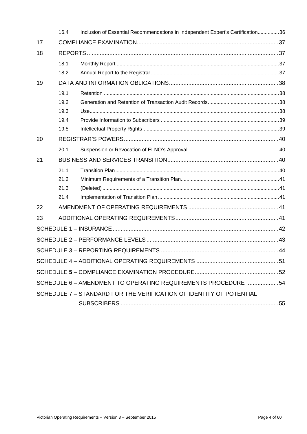|    | 16.4 | Inclusion of Essential Recommendations in Independent Expert's Certification36 |  |  |
|----|------|--------------------------------------------------------------------------------|--|--|
| 17 |      |                                                                                |  |  |
| 18 |      |                                                                                |  |  |
|    | 18.1 |                                                                                |  |  |
|    | 18.2 |                                                                                |  |  |
| 19 |      |                                                                                |  |  |
|    | 19.1 |                                                                                |  |  |
|    | 19.2 |                                                                                |  |  |
|    | 19.3 |                                                                                |  |  |
|    | 19.4 |                                                                                |  |  |
|    | 19.5 |                                                                                |  |  |
| 20 |      |                                                                                |  |  |
|    | 20.1 |                                                                                |  |  |
| 21 |      |                                                                                |  |  |
|    | 21.1 |                                                                                |  |  |
|    | 21.2 |                                                                                |  |  |
|    | 21.3 |                                                                                |  |  |
|    | 21.4 |                                                                                |  |  |
| 22 |      |                                                                                |  |  |
| 23 |      |                                                                                |  |  |
|    |      |                                                                                |  |  |
|    |      |                                                                                |  |  |
|    |      |                                                                                |  |  |
|    |      |                                                                                |  |  |
|    |      |                                                                                |  |  |
|    |      | SCHEDULE 6 - AMENDMENT TO OPERATING REQUIREMENTS PROCEDURE 54                  |  |  |
|    |      | SCHEDULE 7 - STANDARD FOR THE VERIFICATION OF IDENTITY OF POTENTIAL            |  |  |
|    |      |                                                                                |  |  |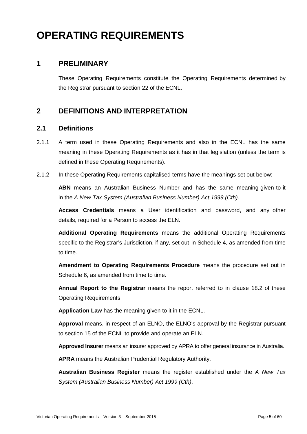# **OPERATING REQUIREMENTS**

# **1 PRELIMINARY**

These Operating Requirements constitute the Operating Requirements determined by the Registrar pursuant to section 22 of the ECNL.

# **2 DEFINITIONS AND INTERPRETATION**

#### **2.1 Definitions**

- 2.1.1 A term used in these Operating Requirements and also in the ECNL has the same meaning in these Operating Requirements as it has in that legislation (unless the term is defined in these Operating Requirements).
- 2.1.2 In these Operating Requirements capitalised terms have the meanings set out below:

**ABN** means an Australian Business Number and has the same meaning given to it in the A New Tax System (Australian Business Number) Act 1999 (Cth).

**Access Credentials** means a User identification and password, and any other details, required for a Person to access the ELN.

**Additional Operating Requirements** means the additional Operating Requirements specific to the Registrar's Jurisdiction, if any, set out in Schedule 4, as amended from time to time.

**Amendment to Operating Requirements Procedure** means the procedure set out in Schedule 6, as amended from time to time.

**Annual Report to the Registrar** means the report referred to in clause 18.2 of these Operating Requirements.

**Application Law** has the meaning given to it in the ECNL.

**Approval** means, in respect of an ELNO, the ELNO's approval by the Registrar pursuant to section 15 of the ECNL to provide and operate an ELN.

**Approved Insurer** means an insurer approved by APRA to offer general insurance in Australia.

**APRA** means the Australian Prudential Regulatory Authority.

**Australian Business Register** means the register established under the A New Tax System (Australian Business Number) Act 1999 (Cth).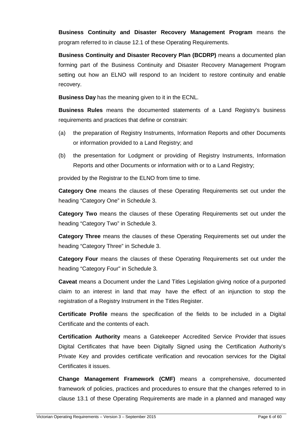**Business Continuity and Disaster Recovery Management Program** means the program referred to in clause 12.1 of these Operating Requirements.

**Business Continuity and Disaster Recovery Plan (BCDRP)** means a documented plan forming part of the Business Continuity and Disaster Recovery Management Program setting out how an ELNO will respond to an Incident to restore continuity and enable recovery.

**Business Day** has the meaning given to it in the ECNL.

**Business Rules** means the documented statements of a Land Registry's business requirements and practices that define or constrain:

- (a) the preparation of Registry Instruments, Information Reports and other Documents or information provided to a Land Registry; and
- (b) the presentation for Lodgment or providing of Registry Instruments, Information Reports and other Documents or information with or to a Land Registry;

provided by the Registrar to the ELNO from time to time.

**Category One** means the clauses of these Operating Requirements set out under the heading "Category One" in Schedule 3.

**Category Two** means the clauses of these Operating Requirements set out under the heading "Category Two" in Schedule 3.

**Category Three** means the clauses of these Operating Requirements set out under the heading "Category Three" in Schedule 3.

**Category Four** means the clauses of these Operating Requirements set out under the heading "Category Four" in Schedule 3.

**Caveat** means a Document under the Land Titles Legislation giving notice of a purported claim to an interest in land that may have the effect of an injunction to stop the registration of a Registry Instrument in the Titles Register.

**Certificate Profile** means the specification of the fields to be included in a Digital Certificate and the contents of each.

**Certification Authority** means a Gatekeeper Accredited Service Provider that issues Digital Certificates that have been Digitally Signed using the Certification Authority's Private Key and provides certificate verification and revocation services for the Digital Certificates it issues.

**Change Management Framework (CMF)** means a comprehensive, documented framework of policies, practices and procedures to ensure that the changes referred to in clause 13.1 of these Operating Requirements are made in a planned and managed way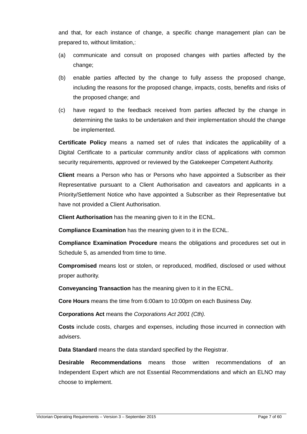and that, for each instance of change, a specific change management plan can be prepared to, without limitation,:

- (a) communicate and consult on proposed changes with parties affected by the change;
- (b) enable parties affected by the change to fully assess the proposed change, including the reasons for the proposed change, impacts, costs, benefits and risks of the proposed change; and
- (c) have regard to the feedback received from parties affected by the change in determining the tasks to be undertaken and their implementation should the change be implemented.

**Certificate Policy** means a named set of rules that indicates the applicability of a Digital Certificate to a particular community and/or class of applications with common security requirements, approved or reviewed by the Gatekeeper Competent Authority.

**Client** means a Person who has or Persons who have appointed a Subscriber as their Representative pursuant to a Client Authorisation and caveators and applicants in a Priority/Settlement Notice who have appointed a Subscriber as their Representative but have not provided a Client Authorisation.

**Client Authorisation** has the meaning given to it in the ECNL.

**Compliance Examination** has the meaning given to it in the ECNL.

**Compliance Examination Procedure** means the obligations and procedures set out in Schedule 5, as amended from time to time.

**Compromised** means lost or stolen, or reproduced, modified, disclosed or used without proper authority.

**Conveyancing Transaction** has the meaning given to it in the ECNL.

**Core Hours** means the time from 6:00am to 10:00pm on each Business Day.

**Corporations Act** means the Corporations Act 2001 (Cth).

**Costs** include costs, charges and expenses, including those incurred in connection with advisers.

**Data Standard** means the data standard specified by the Registrar.

**Desirable Recommendations** means those written recommendations of an Independent Expert which are not Essential Recommendations and which an ELNO may choose to implement.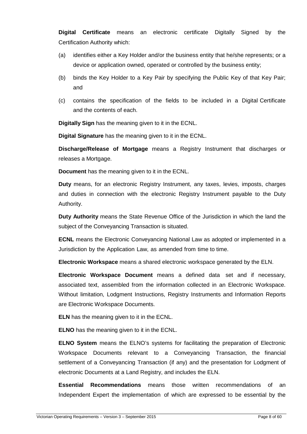**Digital Certificate** means an electronic certificate Digitally Signed by the Certification Authority which:

- (a) identifies either a Key Holder and/or the business entity that he/she represents; or a device or application owned, operated or controlled by the business entity;
- (b) binds the Key Holder to a Key Pair by specifying the Public Key of that Key Pair; and
- (c) contains the specification of the fields to be included in a Digital Certificate and the contents of each.

**Digitally Sign** has the meaning given to it in the ECNL.

**Digital Signature** has the meaning given to it in the ECNL.

**Discharge/Release of Mortgage** means a Registry Instrument that discharges or releases a Mortgage.

**Document** has the meaning given to it in the ECNL.

**Duty** means, for an electronic Registry Instrument, any taxes, levies, imposts, charges and duties in connection with the electronic Registry Instrument payable to the Duty Authority.

**Duty Authority** means the State Revenue Office of the Jurisdiction in which the land the subject of the Conveyancing Transaction is situated.

**ECNL** means the Electronic Conveyancing National Law as adopted or implemented in a Jurisdiction by the Application Law, as amended from time to time.

**Electronic Workspace** means a shared electronic workspace generated by the ELN.

**Electronic Workspace Document** means a defined data set and if necessary, associated text, assembled from the information collected in an Electronic Workspace. Without limitation, Lodgment Instructions, Registry Instruments and Information Reports are Electronic Workspace Documents.

**ELN** has the meaning given to it in the ECNL.

**ELNO** has the meaning given to it in the ECNL.

**ELNO System** means the ELNO's systems for facilitating the preparation of Electronic Workspace Documents relevant to a Conveyancing Transaction, the financial settlement of a Conveyancing Transaction (if any) and the presentation for Lodgment of electronic Documents at a Land Registry, and includes the ELN.

**Essential Recommendations** means those written recommendations of an Independent Expert the implementation of which are expressed to be essential by the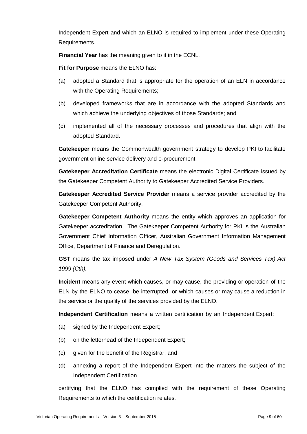Independent Expert and which an ELNO is required to implement under these Operating Requirements.

**Financial Year** has the meaning given to it in the ECNL.

**Fit for Purpose** means the ELNO has:

- (a) adopted a Standard that is appropriate for the operation of an ELN in accordance with the Operating Requirements;
- (b) developed frameworks that are in accordance with the adopted Standards and which achieve the underlying objectives of those Standards; and
- (c) implemented all of the necessary processes and procedures that align with the adopted Standard.

**Gatekeeper** means the Commonwealth government strategy to develop PKI to facilitate government online service delivery and e-procurement.

**Gatekeeper Accreditation Certificate** means the electronic Digital Certificate issued by the Gatekeeper Competent Authority to Gatekeeper Accredited Service Providers.

**Gatekeeper Accredited Service Provider** means a service provider accredited by the Gatekeeper Competent Authority.

**Gatekeeper Competent Authority** means the entity which approves an application for Gatekeeper accreditation. The Gatekeeper Competent Authority for PKI is the Australian Government Chief Information Officer, Australian Government Information Management Office, Department of Finance and Deregulation.

**GST** means the tax imposed under A New Tax System (Goods and Services Tax) Act 1999 (Cth).

**Incident** means any event which causes, or may cause, the providing or operation of the ELN by the ELNO to cease, be interrupted, or which causes or may cause a reduction in the service or the quality of the services provided by the ELNO.

**Independent Certification** means a written certification by an Independent Expert:

- (a) signed by the Independent Expert;
- (b) on the letterhead of the Independent Expert;
- (c) given for the benefit of the Registrar; and
- (d) annexing a report of the Independent Expert into the matters the subject of the Independent Certification

certifying that the ELNO has complied with the requirement of these Operating Requirements to which the certification relates.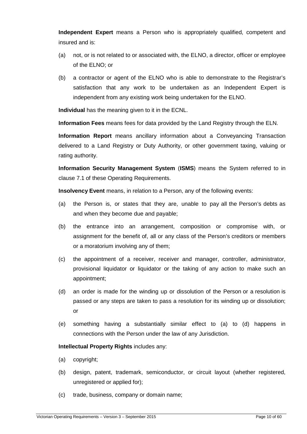**Independent Expert** means a Person who is appropriately qualified, competent and insured and is:

- (a) not, or is not related to or associated with, the ELNO, a director, officer or employee of the ELNO; or
- (b) a contractor or agent of the ELNO who is able to demonstrate to the Registrar's satisfaction that any work to be undertaken as an Independent Expert is independent from any existing work being undertaken for the ELNO.

**Individual** has the meaning given to it in the ECNL.

**Information Fees** means fees for data provided by the Land Registry through the ELN.

**Information Report** means ancillary information about a Conveyancing Transaction delivered to a Land Registry or Duty Authority, or other government taxing, valuing or rating authority.

**Information Security Management System** (**ISMS**) means the System referred to in clause 7.1 of these Operating Requirements.

**Insolvency Event** means, in relation to a Person, any of the following events:

- (a) the Person is, or states that they are, unable to pay all the Person's debts as and when they become due and payable;
- (b) the entrance into an arrangement, composition or compromise with, or assignment for the benefit of, all or any class of the Person's creditors or members or a moratorium involving any of them;
- (c) the appointment of a receiver, receiver and manager, controller, administrator, provisional liquidator or liquidator or the taking of any action to make such an appointment;
- (d) an order is made for the winding up or dissolution of the Person or a resolution is passed or any steps are taken to pass a resolution for its winding up or dissolution; or
- (e) something having a substantially similar effect to (a) to (d) happens in connections with the Person under the law of any Jurisdiction.

#### **Intellectual Property Rights** includes any:

- (a) copyright;
- (b) design, patent, trademark, semiconductor, or circuit layout (whether registered, unregistered or applied for);
- (c) trade, business, company or domain name;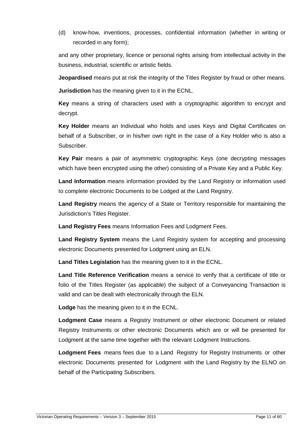(d) know-how, inventions, processes, confidential information (whether in writing or recorded in any form);

and any other proprietary, licence or personal rights arising from intellectual activity in the business, industrial, scientific or artistic fields.

**Jeopardised** means put at risk the integrity of the Titles Register by fraud or other means.

**Jurisdiction** has the meaning given to it in the ECNL.

**Key** means a string of characters used with a cryptographic algorithm to encrypt and decrypt.

**Key Holder** means an Individual who holds and uses Keys and Digital Certificates on behalf of a Subscriber, or in his/her own right in the case of a Key Holder who is also a Subscriber.

**Key Pair** means a pair of asymmetric cryptographic Keys (one decrypting messages which have been encrypted using the other) consisting of a Private Key and a Public Key.

**Land Information** means information provided by the Land Registry or information used to complete electronic Documents to be Lodged at the Land Registry.

**Land Registry** means the agency of a State or Territory responsible for maintaining the Jurisdiction's Titles Register.

**Land Registry Fees** means Information Fees and Lodgment Fees.

**Land Registry System** means the Land Registry system for accepting and processing electronic Documents presented for Lodgment using an ELN.

**Land Titles Legislation** has the meaning given to it in the ECNL.

**Land Title Reference Verification** means a service to verify that a certificate of title or folio of the Titles Register (as applicable) the subject of a Conveyancing Transaction is valid and can be dealt with electronically through the ELN.

**Lodge** has the meaning given to it in the ECNL.

**Lodgment Case** means a Registry Instrument or other electronic Document or related Registry Instruments or other electronic Documents which are or will be presented for Lodgment at the same time together with the relevant Lodgment Instructions.

**Lodgment Fees** means fees due to a Land Registry for Registry Instruments or other electronic Documents presented for Lodgment with the Land Registry by the ELNO on behalf of the Participating Subscribers.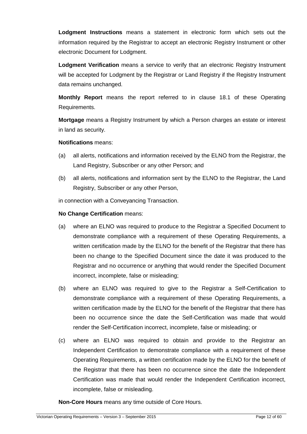**Lodgment Instructions** means a statement in electronic form which sets out the information required by the Registrar to accept an electronic Registry Instrument or other electronic Document for Lodgment.

**Lodgment Verification** means a service to verify that an electronic Registry Instrument will be accepted for Lodgment by the Registrar or Land Registry if the Registry Instrument data remains unchanged.

**Monthly Report** means the report referred to in clause 18.1 of these Operating Requirements.

**Mortgage** means a Registry Instrument by which a Person charges an estate or interest in land as security.

#### **Notifications** means:

- (a) all alerts, notifications and information received by the ELNO from the Registrar, the Land Registry, Subscriber or any other Person; and
- (b) all alerts, notifications and information sent by the ELNO to the Registrar, the Land Registry, Subscriber or any other Person,

in connection with a Conveyancing Transaction.

#### **No Change Certification** means:

- (a) where an ELNO was required to produce to the Registrar a Specified Document to demonstrate compliance with a requirement of these Operating Requirements, a written certification made by the ELNO for the benefit of the Registrar that there has been no change to the Specified Document since the date it was produced to the Registrar and no occurrence or anything that would render the Specified Document incorrect, incomplete, false or misleading;
- (b) where an ELNO was required to give to the Registrar a Self-Certification to demonstrate compliance with a requirement of these Operating Requirements, a written certification made by the ELNO for the benefit of the Registrar that there has been no occurrence since the date the Self-Certification was made that would render the Self-Certification incorrect, incomplete, false or misleading; or
- (c) where an ELNO was required to obtain and provide to the Registrar an Independent Certification to demonstrate compliance with a requirement of these Operating Requirements, a written certification made by the ELNO for the benefit of the Registrar that there has been no occurrence since the date the Independent Certification was made that would render the Independent Certification incorrect, incomplete, false or misleading.

**Non-Core Hours** means any time outside of Core Hours.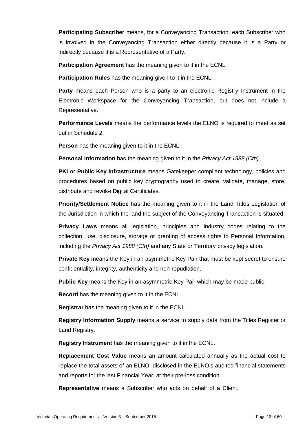**Participating Subscriber** means, for a Conveyancing Transaction, each Subscriber who is involved in the Conveyancing Transaction either directly because it is a Party or indirectly because it is a Representative of a Party.

**Participation Agreement** has the meaning given to it in the ECNL.

**Participation Rules** has the meaning given to it in the ECNL.

**Party** means each Person who is a party to an electronic Registry Instrument in the Electronic Workspace for the Conveyancing Transaction, but does not include a Representative.

**Performance Levels** means the performance levels the ELNO is required to meet as set out in Schedule 2.

**Person** has the meaning given to it in the ECNL.

**Personal Information** has the meaning given to it in the *Privacy Act 1988 (Cth)*.

**PKI** or **Public Key Infrastructure** means Gatekeeper compliant technology, policies and procedures based on public key cryptography used to create, validate, manage, store, distribute and revoke Digital Certificates.

**Priority/Settlement Notice** has the meaning given to it in the Land Titles Legislation of the Jurisdiction in which the land the subject of the Conveyancing Transaction is situated.

**Privacy Laws** means all legislation, principles and industry codes relating to the collection, use, disclosure, storage or granting of access rights to Personal Information, including the Privacy Act 1988 (Cth) and any State or Territory privacy legislation.

**Private Key** means the Key in an asymmetric Key Pair that must be kept secret to ensure confidentiality, integrity, authenticity and non-repudiation.

**Public Key** means the Key in an asymmetric Key Pair which may be made public.

**Record** has the meaning given to it in the ECNL.

**Registrar** has the meaning given to it in the ECNL.

**Registry Information Supply** means a service to supply data from the Titles Register or Land Registry.

**Registry Instrument** has the meaning given to it in the ECNL.

**Replacement Cost Value** means an amount calculated annually as the actual cost to replace the total assets of an ELNO, disclosed in the ELNO's audited financial statements and reports for the last Financial Year, at their pre-loss condition.

**Representative** means a Subscriber who acts on behalf of a Client.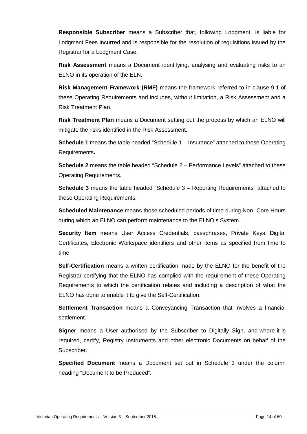**Responsible Subscriber** means a Subscriber that, following Lodgment, is liable for Lodgment Fees incurred and is responsible for the resolution of requisitions issued by the Registrar for a Lodgment Case.

**Risk Assessment** means a Document identifying, analysing and evaluating risks to an ELNO in its operation of the ELN.

**Risk Management Framework (RMF)** means the framework referred to in clause 9.1 of these Operating Requirements and includes, without limitation, a Risk Assessment and a Risk Treatment Plan.

**Risk Treatment Plan** means a Document setting out the process by which an ELNO will mitigate the risks identified in the Risk Assessment.

**Schedule 1** means the table headed "Schedule 1 – Insurance" attached to these Operating Requirements**.** 

**Schedule 2** means the table headed "Schedule 2 – Performance Levels" attached to these Operating Requirements.

**Schedule 3** means the table headed "Schedule 3 – Reporting Requirements" attached to these Operating Requirements.

**Scheduled Maintenance** means those scheduled periods of time during Non- Core Hours during which an ELNO can perform maintenance to the ELNO's System.

**Security Item** means User Access Credentials, passphrases, Private Keys, Digital Certificates, Electronic Workspace identifiers and other items as specified from time to time.

**Self-Certification** means a written certification made by the ELNO for the benefit of the Registrar certifying that the ELNO has complied with the requirement of these Operating Requirements to which the certification relates and including a description of what the ELNO has done to enable it to give the Self-Certification.

**Settlement Transaction** means a Conveyancing Transaction that involves a financial settlement.

**Signer** means a User authorised by the Subscriber to Digitally Sign, and where it is required, certify, Registry Instruments and other electronic Documents on behalf of the Subscriber.

**Specified Document** means a Document set out in Schedule 3 under the column heading "Document to be Produced".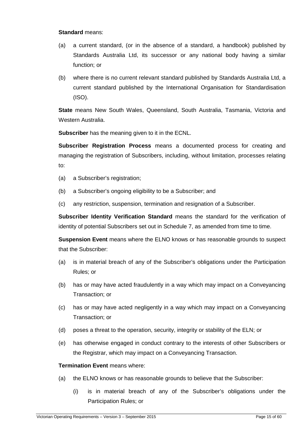#### **Standard** means:

- (a) a current standard, (or in the absence of a standard, a handbook) published by Standards Australia Ltd, its successor or any national body having a similar function; or
- (b) where there is no current relevant standard published by Standards Australia Ltd, a current standard published by the International Organisation for Standardisation (ISO).

**State** means New South Wales, Queensland, South Australia, Tasmania, Victoria and Western Australia.

**Subscriber** has the meaning given to it in the ECNL.

**Subscriber Registration Process** means a documented process for creating and managing the registration of Subscribers, including, without limitation, processes relating to:

- (a) a Subscriber's registration;
- (b) a Subscriber's ongoing eligibility to be a Subscriber; and
- (c) any restriction, suspension, termination and resignation of a Subscriber.

**Subscriber Identity Verification Standard** means the standard for the verification of identity of potential Subscribers set out in Schedule 7, as amended from time to time.

**Suspension Event** means where the ELNO knows or has reasonable grounds to suspect that the Subscriber:

- (a) is in material breach of any of the Subscriber's obligations under the Participation Rules; or
- (b) has or may have acted fraudulently in a way which may impact on a Conveyancing Transaction; or
- (c) has or may have acted negligently in a way which may impact on a Conveyancing Transaction; or
- (d) poses a threat to the operation, security, integrity or stability of the ELN; or
- (e) has otherwise engaged in conduct contrary to the interests of other Subscribers or the Registrar, which may impact on a Conveyancing Transaction.

#### **Termination Event** means where:

- (a) the ELNO knows or has reasonable grounds to believe that the Subscriber:
	- (i) is in material breach of any of the Subscriber's obligations under the Participation Rules; or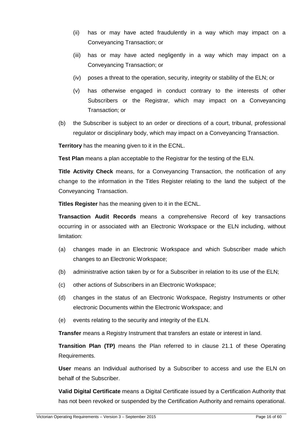- (ii) has or may have acted fraudulently in a way which may impact on a Conveyancing Transaction; or
- (iii) has or may have acted negligently in a way which may impact on a Conveyancing Transaction; or
- (iv) poses a threat to the operation, security, integrity or stability of the ELN; or
- (v) has otherwise engaged in conduct contrary to the interests of other Subscribers or the Registrar, which may impact on a Conveyancing Transaction; or
- (b) the Subscriber is subject to an order or directions of a court, tribunal, professional regulator or disciplinary body, which may impact on a Conveyancing Transaction.

**Territory** has the meaning given to it in the ECNL.

**Test Plan** means a plan acceptable to the Registrar for the testing of the ELN.

**Title Activity Check** means, for a Conveyancing Transaction, the notification of any change to the information in the Titles Register relating to the land the subject of the Conveyancing Transaction.

**Titles Register** has the meaning given to it in the ECNL.

**Transaction Audit Records** means a comprehensive Record of key transactions occurring in or associated with an Electronic Workspace or the ELN including, without limitation:

- (a) changes made in an Electronic Workspace and which Subscriber made which changes to an Electronic Workspace;
- (b) administrative action taken by or for a Subscriber in relation to its use of the ELN;
- (c) other actions of Subscribers in an Electronic Workspace;
- (d) changes in the status of an Electronic Workspace, Registry Instruments or other electronic Documents within the Electronic Workspace; and
- (e) events relating to the security and integrity of the ELN.

**Transfer** means a Registry Instrument that transfers an estate or interest in land.

**Transition Plan (TP)** means the Plan referred to in clause 21.1 of these Operating Requirements.

**User** means an Individual authorised by a Subscriber to access and use the ELN on behalf of the Subscriber.

**Valid Digital Certificate** means a Digital Certificate issued by a Certification Authority that has not been revoked or suspended by the Certification Authority and remains operational.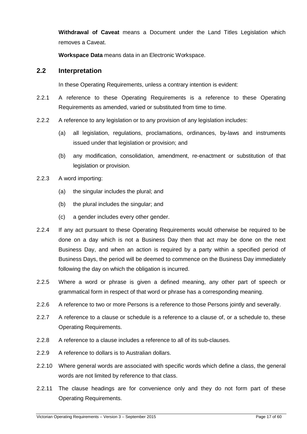**Withdrawal of Caveat** means a Document under the Land Titles Legislation which removes a Caveat.

**Workspace Data** means data in an Electronic Workspace.

#### **2.2 Interpretation**

In these Operating Requirements, unless a contrary intention is evident:

- 2.2.1 A reference to these Operating Requirements is a reference to these Operating Requirements as amended, varied or substituted from time to time.
- 2.2.2 A reference to any legislation or to any provision of any legislation includes:
	- (a) all legislation, regulations, proclamations, ordinances, by-laws and instruments issued under that legislation or provision; and
	- (b) any modification, consolidation, amendment, re-enactment or substitution of that legislation or provision.
- 2.2.3 A word importing:
	- (a) the singular includes the plural; and
	- (b) the plural includes the singular; and
	- (c) a gender includes every other gender.
- 2.2.4 If any act pursuant to these Operating Requirements would otherwise be required to be done on a day which is not a Business Day then that act may be done on the next Business Day, and when an action is required by a party within a specified period of Business Days, the period will be deemed to commence on the Business Day immediately following the day on which the obligation is incurred.
- 2.2.5 Where a word or phrase is given a defined meaning, any other part of speech or grammatical form in respect of that word or phrase has a corresponding meaning.
- 2.2.6 A reference to two or more Persons is a reference to those Persons jointly and severally.
- 2.2.7 A reference to a clause or schedule is a reference to a clause of, or a schedule to, these Operating Requirements.
- 2.2.8 A reference to a clause includes a reference to all of its sub-clauses.
- 2.2.9 A reference to dollars is to Australian dollars.
- 2.2.10 Where general words are associated with specific words which define a class, the general words are not limited by reference to that class.
- 2.2.11 The clause headings are for convenience only and they do not form part of these Operating Requirements.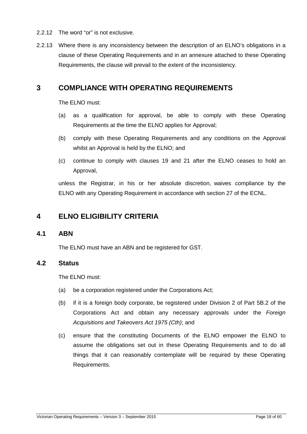- 2.2.12 The word "or" is not exclusive.
- 2.2.13 Where there is any inconsistency between the description of an ELNO's obligations in a clause of these Operating Requirements and in an annexure attached to these Operating Requirements, the clause will prevail to the extent of the inconsistency.

# **3 COMPLIANCE WITH OPERATING REQUIREMENTS**

The ELNO must:

- (a) as a qualification for approval, be able to comply with these Operating Requirements at the time the ELNO applies for Approval;
- (b) comply with these Operating Requirements and any conditions on the Approval whilst an Approval is held by the ELNO; and
- (c) continue to comply with clauses 19 and 21 after the ELNO ceases to hold an Approval,

unless the Registrar, in his or her absolute discretion, waives compliance by the ELNO with any Operating Requirement in accordance with section 27 of the ECNL.

# **4 ELNO ELIGIBILITY CRITERIA**

#### **4.1 ABN**

The ELNO must have an ABN and be registered for GST.

#### **4.2 Status**

The ELNO must:

- (a) be a corporation registered under the Corporations Act;
- (b) if it is a foreign body corporate, be registered under Division 2 of Part 5B.2 of the Corporations Act and obtain any necessary approvals under the Foreign Acquisitions and Takeovers Act 1975 (Cth); and
- (c) ensure that the constituting Documents of the ELNO empower the ELNO to assume the obligations set out in these Operating Requirements and to do all things that it can reasonably contemplate will be required by these Operating Requirements.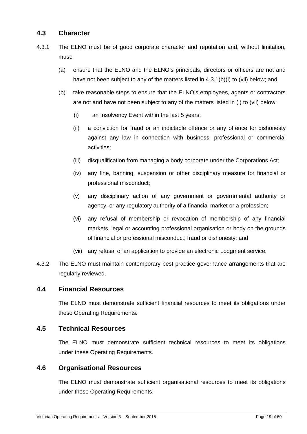## **4.3 Character**

- 4.3.1 The ELNO must be of good corporate character and reputation and, without limitation, must:
	- (a) ensure that the ELNO and the ELNO's principals, directors or officers are not and have not been subject to any of the matters listed in 4.3.1(b)(i) to (vii) below; and
	- (b) take reasonable steps to ensure that the ELNO's employees, agents or contractors are not and have not been subject to any of the matters listed in (i) to (vii) below:
		- (i) an Insolvency Event within the last 5 years;
		- (ii) a conviction for fraud or an indictable offence or any offence for dishonesty against any law in connection with business, professional or commercial activities;
		- (iii) disqualification from managing a body corporate under the Corporations Act;
		- (iv) any fine, banning, suspension or other disciplinary measure for financial or professional misconduct;
		- (v) any disciplinary action of any government or governmental authority or agency, or any regulatory authority of a financial market or a profession;
		- (vi) any refusal of membership or revocation of membership of any financial markets, legal or accounting professional organisation or body on the grounds of financial or professional misconduct, fraud or dishonesty; and
		- (vii) any refusal of an application to provide an electronic Lodgment service.
- 4.3.2 The ELNO must maintain contemporary best practice governance arrangements that are regularly reviewed.

#### **4.4 Financial Resources**

The ELNO must demonstrate sufficient financial resources to meet its obligations under these Operating Requirements.

#### **4.5 Technical Resources**

The ELNO must demonstrate sufficient technical resources to meet its obligations under these Operating Requirements.

#### **4.6 Organisational Resources**

The ELNO must demonstrate sufficient organisational resources to meet its obligations under these Operating Requirements.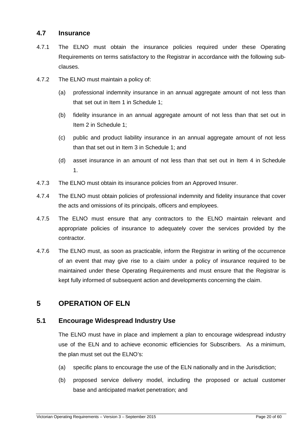#### **4.7 Insurance**

- 4.7.1 The ELNO must obtain the insurance policies required under these Operating Requirements on terms satisfactory to the Registrar in accordance with the following subclauses.
- 4.7.2 The ELNO must maintain a policy of:
	- (a) professional indemnity insurance in an annual aggregate amount of not less than that set out in Item 1 in Schedule 1;
	- (b) fidelity insurance in an annual aggregate amount of not less than that set out in Item 2 in Schedule 1;
	- (c) public and product liability insurance in an annual aggregate amount of not less than that set out in Item 3 in Schedule 1; and
	- (d) asset insurance in an amount of not less than that set out in Item 4 in Schedule 1.
- 4.7.3 The ELNO must obtain its insurance policies from an Approved Insurer.
- 4.7.4 The ELNO must obtain policies of professional indemnity and fidelity insurance that cover the acts and omissions of its principals, officers and employees.
- 4.7.5 The ELNO must ensure that any contractors to the ELNO maintain relevant and appropriate policies of insurance to adequately cover the services provided by the contractor.
- 4.7.6 The ELNO must, as soon as practicable, inform the Registrar in writing of the occurrence of an event that may give rise to a claim under a policy of insurance required to be maintained under these Operating Requirements and must ensure that the Registrar is kept fully informed of subsequent action and developments concerning the claim.

# **5 OPERATION OF ELN**

#### **5.1 Encourage Widespread Industry Use**

The ELNO must have in place and implement a plan to encourage widespread industry use of the ELN and to achieve economic efficiencies for Subscribers. As a minimum, the plan must set out the ELNO's:

- (a) specific plans to encourage the use of the ELN nationally and in the Jurisdiction;
- (b) proposed service delivery model, including the proposed or actual customer base and anticipated market penetration; and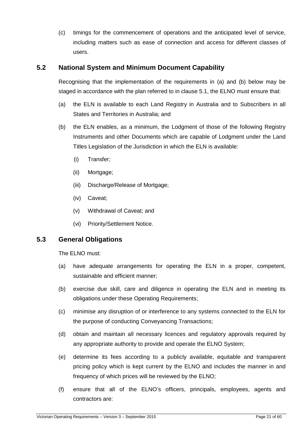(c) timings for the commencement of operations and the anticipated level of service, including matters such as ease of connection and access for different classes of users.

## **5.2 National System and Minimum Document Capability**

Recognising that the implementation of the requirements in (a) and (b) below may be staged in accordance with the plan referred to in clause 5.1, the ELNO must ensure that:

- (a) the ELN is available to each Land Registry in Australia and to Subscribers in all States and Territories in Australia; and
- (b) the ELN enables, as a minimum, the Lodgment of those of the following Registry Instruments and other Documents which are capable of Lodgment under the Land Titles Legislation of the Jurisdiction in which the ELN is available:
	- (i) Transfer;
	- (ii) Mortgage;
	- (iii) Discharge/Release of Mortgage;
	- (iv) Caveat;
	- (v) Withdrawal of Caveat; and
	- (vi) Priority/Settlement Notice.

#### **5.3 General Obligations**

The ELNO must:

- (a) have adequate arrangements for operating the ELN in a proper, competent, sustainable and efficient manner:
- (b) exercise due skill, care and diligence in operating the ELN and in meeting its obligations under these Operating Requirements;
- (c) minimise any disruption of or interference to any systems connected to the ELN for the purpose of conducting Conveyancing Transactions;
- (d) obtain and maintain all necessary licences and regulatory approvals required by any appropriate authority to provide and operate the ELNO System;
- (e) determine its fees according to a publicly available, equitable and transparent pricing policy which is kept current by the ELNO and includes the manner in and frequency of which prices will be reviewed by the ELNO;
- (f) ensure that all of the ELNO's officers, principals, employees, agents and contractors are: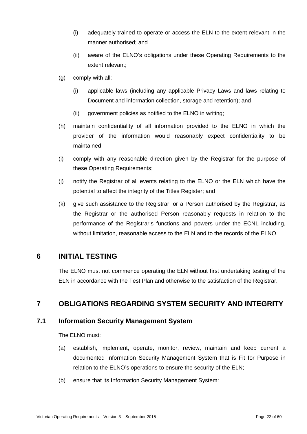- (i) adequately trained to operate or access the ELN to the extent relevant in the manner authorised; and
- (ii) aware of the ELNO's obligations under these Operating Requirements to the extent relevant;
- (g) comply with all:
	- (i) applicable laws (including any applicable Privacy Laws and laws relating to Document and information collection, storage and retention); and
	- (ii) government policies as notified to the ELNO in writing;
- (h) maintain confidentiality of all information provided to the ELNO in which the provider of the information would reasonably expect confidentiality to be maintained;
- (i) comply with any reasonable direction given by the Registrar for the purpose of these Operating Requirements;
- (j) notify the Registrar of all events relating to the ELNO or the ELN which have the potential to affect the integrity of the Titles Register; and
- (k) give such assistance to the Registrar, or a Person authorised by the Registrar, as the Registrar or the authorised Person reasonably requests in relation to the performance of the Registrar's functions and powers under the ECNL including, without limitation, reasonable access to the ELN and to the records of the ELNO.

# **6 INITIAL TESTING**

The ELNO must not commence operating the ELN without first undertaking testing of the ELN in accordance with the Test Plan and otherwise to the satisfaction of the Registrar.

# **7 OBLIGATIONS REGARDING SYSTEM SECURITY AND INTEGRITY**

#### **7.1 Information Security Management System**

The ELNO must:

- (a) establish, implement, operate, monitor, review, maintain and keep current a documented Information Security Management System that is Fit for Purpose in relation to the ELNO's operations to ensure the security of the ELN;
- (b) ensure that its Information Security Management System: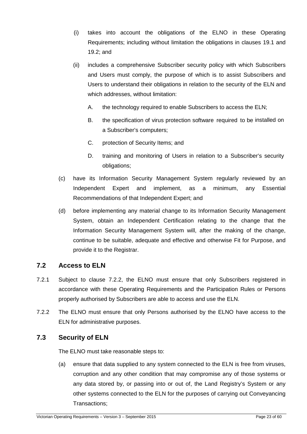- (i) takes into account the obligations of the ELNO in these Operating Requirements; including without limitation the obligations in clauses 19.1 and 19.2; and
- (ii) includes a comprehensive Subscriber security policy with which Subscribers and Users must comply, the purpose of which is to assist Subscribers and Users to understand their obligations in relation to the security of the ELN and which addresses, without limitation:
	- A. the technology required to enable Subscribers to access the ELN;
	- B. the specification of virus protection software required to be installed on a Subscriber's computers;
	- C. protection of Security Items; and
	- D. training and monitoring of Users in relation to a Subscriber's security obligations;
- (c) have its Information Security Management System regularly reviewed by an Independent Expert and implement, as a minimum, any Essential Recommendations of that Independent Expert; and
- (d) before implementing any material change to its Information Security Management System, obtain an Independent Certification relating to the change that the Information Security Management System will, after the making of the change, continue to be suitable, adequate and effective and otherwise Fit for Purpose, and provide it to the Registrar.

## **7.2 Access to ELN**

- 7.2.1 Subject to clause 7.2.2, the ELNO must ensure that only Subscribers registered in accordance with these Operating Requirements and the Participation Rules or Persons properly authorised by Subscribers are able to access and use the ELN.
- 7.2.2 The ELNO must ensure that only Persons authorised by the ELNO have access to the ELN for administrative purposes.

## **7.3 Security of ELN**

The ELNO must take reasonable steps to:

(a) ensure that data supplied to any system connected to the ELN is free from viruses, corruption and any other condition that may compromise any of those systems or any data stored by, or passing into or out of, the Land Registry's System or any other systems connected to the ELN for the purposes of carrying out Conveyancing Transactions;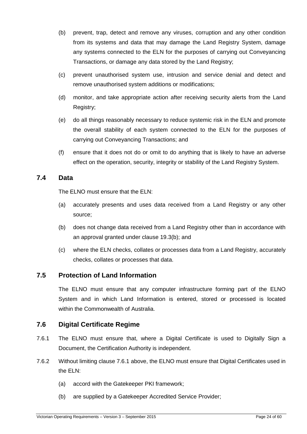- (b) prevent, trap, detect and remove any viruses, corruption and any other condition from its systems and data that may damage the Land Registry System, damage any systems connected to the ELN for the purposes of carrying out Conveyancing Transactions, or damage any data stored by the Land Registry;
- (c) prevent unauthorised system use, intrusion and service denial and detect and remove unauthorised system additions or modifications;
- (d) monitor, and take appropriate action after receiving security alerts from the Land Registry;
- (e) do all things reasonably necessary to reduce systemic risk in the ELN and promote the overall stability of each system connected to the ELN for the purposes of carrying out Conveyancing Transactions; and
- (f) ensure that it does not do or omit to do anything that is likely to have an adverse effect on the operation, security, integrity or stability of the Land Registry System.

## **7.4 Data**

The ELNO must ensure that the ELN:

- (a) accurately presents and uses data received from a Land Registry or any other source;
- (b) does not change data received from a Land Registry other than in accordance with an approval granted under clause 19.3(b); and
- (c) where the ELN checks, collates or processes data from a Land Registry, accurately checks, collates or processes that data.

## **7.5 Protection of Land Information**

The ELNO must ensure that any computer infrastructure forming part of the ELNO System and in which Land Information is entered, stored or processed is located within the Commonwealth of Australia

## **7.6 Digital Certificate Regime**

- 7.6.1 The ELNO must ensure that, where a Digital Certificate is used to Digitally Sign a Document, the Certification Authority is independent.
- 7.6.2 Without limiting clause 7.6.1 above, the ELNO must ensure that Digital Certificates used in the ELN:
	- (a) accord with the Gatekeeper PKI framework;
	- (b) are supplied by a Gatekeeper Accredited Service Provider;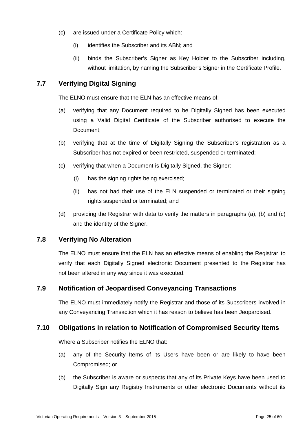- (c) are issued under a Certificate Policy which:
	- (i) identifies the Subscriber and its ABN; and
	- (ii) binds the Subscriber's Signer as Key Holder to the Subscriber including, without limitation, by naming the Subscriber's Signer in the Certificate Profile.

# **7.7 Verifying Digital Signing**

The ELNO must ensure that the ELN has an effective means of:

- (a) verifying that any Document required to be Digitally Signed has been executed using a Valid Digital Certificate of the Subscriber authorised to execute the Document;
- (b) verifying that at the time of Digitally Signing the Subscriber's registration as a Subscriber has not expired or been restricted, suspended or terminated;
- (c) verifying that when a Document is Digitally Signed, the Signer:
	- (i) has the signing rights being exercised;
	- (ii) has not had their use of the ELN suspended or terminated or their signing rights suspended or terminated; and
- (d) providing the Registrar with data to verify the matters in paragraphs (a), (b) and (c) and the identity of the Signer.

#### **7.8 Verifying No Alteration**

The ELNO must ensure that the ELN has an effective means of enabling the Registrar to verify that each Digitally Signed electronic Document presented to the Registrar has not been altered in any way since it was executed.

#### **7.9 Notification of Jeopardised Conveyancing Transactions**

The ELNO must immediately notify the Registrar and those of its Subscribers involved in any Conveyancing Transaction which it has reason to believe has been Jeopardised.

#### **7.10 Obligations in relation to Notification of Compromised Security Items**

Where a Subscriber notifies the ELNO that:

- (a) any of the Security Items of its Users have been or are likely to have been Compromised; or
- (b) the Subscriber is aware or suspects that any of its Private Keys have been used to Digitally Sign any Registry Instruments or other electronic Documents without its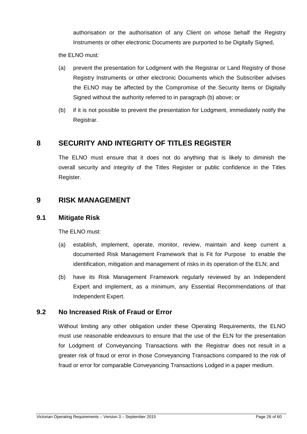authorisation or the authorisation of any Client on whose behalf the Registry Instruments or other electronic Documents are purported to be Digitally Signed,

the ELNO must:

- (a) prevent the presentation for Lodgment with the Registrar or Land Registry of those Registry Instruments or other electronic Documents which the Subscriber advises the ELNO may be affected by the Compromise of the Security Items or Digitally Signed without the authority referred to in paragraph (b) above; or
- (b) if it is not possible to prevent the presentation for Lodgment, immediately notify the Registrar.

# **8 SECURITY AND INTEGRITY OF TITLES REGISTER**

The ELNO must ensure that it does not do anything that is likely to diminish the overall security and integrity of the Titles Register or public confidence in the Titles Register.

## **9 RISK MANAGEMENT**

#### **9.1 Mitigate Risk**

The ELNO must:

- (a) establish, implement, operate, monitor, review, maintain and keep current a documented Risk Management Framework that is Fit for Purpose to enable the identification, mitigation and management of risks in its operation of the ELN; and
- (b) have its Risk Management Framework regularly reviewed by an Independent Expert and implement, as a minimum, any Essential Recommendations of that Independent Expert.

#### **9.2 No Increased Risk of Fraud or Error**

Without limiting any other obligation under these Operating Requirements, the ELNO must use reasonable endeavours to ensure that the use of the ELN for the presentation for Lodgment of Conveyancing Transactions with the Registrar does not result in a greater risk of fraud or error in those Conveyancing Transactions compared to the risk of fraud or error for comparable Conveyancing Transactions Lodged in a paper medium.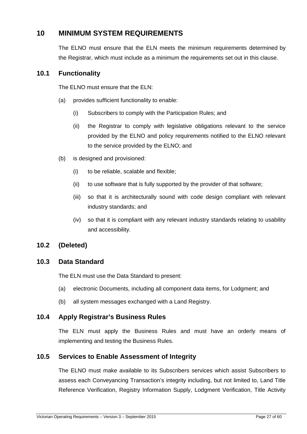# **10 MINIMUM SYSTEM REQUIREMENTS**

The ELNO must ensure that the ELN meets the minimum requirements determined by the Registrar, which must include as a minimum the requirements set out in this clause.

#### **10.1 Functionality**

The ELNO must ensure that the ELN:

- (a) provides sufficient functionality to enable:
	- (i) Subscribers to comply with the Participation Rules; and
	- (ii) the Registrar to comply with legislative obligations relevant to the service provided by the ELNO and policy requirements notified to the ELNO relevant to the service provided by the ELNO; and
- (b) is designed and provisioned:
	- (i) to be reliable, scalable and flexible;
	- (ii) to use software that is fully supported by the provider of that software;
	- (iii) so that it is architecturally sound with code design compliant with relevant industry standards; and
	- (iv) so that it is compliant with any relevant industry standards relating to usability and accessibility.

#### **10.2 (Deleted)**

#### **10.3 Data Standard**

The ELN must use the Data Standard to present:

- (a) electronic Documents, including all component data items, for Lodgment; and
- (b) all system messages exchanged with a Land Registry.

#### **10.4 Apply Registrar's Business Rules**

The ELN must apply the Business Rules and must have an orderly means of implementing and testing the Business Rules.

#### **10.5 Services to Enable Assessment of Integrity**

The ELNO must make available to its Subscribers services which assist Subscribers to assess each Conveyancing Transaction's integrity including, but not limited to, Land Title Reference Verification, Registry Information Supply, Lodgment Verification, Title Activity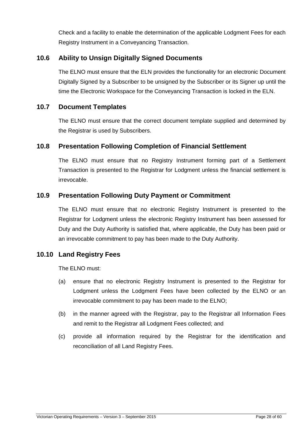Check and a facility to enable the determination of the applicable Lodgment Fees for each Registry Instrument in a Conveyancing Transaction.

## **10.6 Ability to Unsign Digitally Signed Documents**

The ELNO must ensure that the ELN provides the functionality for an electronic Document Digitally Signed by a Subscriber to be unsigned by the Subscriber or its Signer up until the time the Electronic Workspace for the Conveyancing Transaction is locked in the ELN.

#### **10.7 Document Templates**

The ELNO must ensure that the correct document template supplied and determined by the Registrar is used by Subscribers.

## **10.8 Presentation Following Completion of Financial Settlement**

The ELNO must ensure that no Registry Instrument forming part of a Settlement Transaction is presented to the Registrar for Lodgment unless the financial settlement is irrevocable.

## **10.9 Presentation Following Duty Payment or Commitment**

The ELNO must ensure that no electronic Registry Instrument is presented to the Registrar for Lodgment unless the electronic Registry Instrument has been assessed for Duty and the Duty Authority is satisfied that, where applicable, the Duty has been paid or an irrevocable commitment to pay has been made to the Duty Authority.

#### **10.10 Land Registry Fees**

The ELNO must:

- (a) ensure that no electronic Registry Instrument is presented to the Registrar for Lodgment unless the Lodgment Fees have been collected by the ELNO or an irrevocable commitment to pay has been made to the ELNO;
- (b) in the manner agreed with the Registrar, pay to the Registrar all Information Fees and remit to the Registrar all Lodgment Fees collected; and
- (c) provide all information required by the Registrar for the identification and reconciliation of all Land Registry Fees.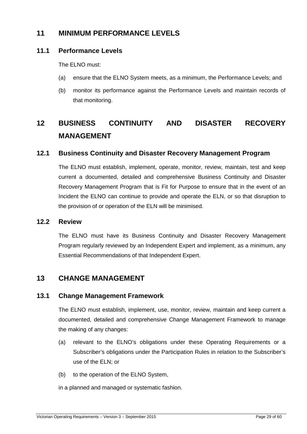# **11 MINIMUM PERFORMANCE LEVELS**

## **11.1 Performance Levels**

The ELNO must:

- (a) ensure that the ELNO System meets, as a minimum, the Performance Levels; and
- (b) monitor its performance against the Performance Levels and maintain records of that monitoring.

# **12 BUSINESS CONTINUITY AND DISASTER RECOVERY MANAGEMENT**

## **12.1 Business Continuity and Disaster Recovery Management Program**

The ELNO must establish, implement, operate, monitor, review, maintain, test and keep current a documented, detailed and comprehensive Business Continuity and Disaster Recovery Management Program that is Fit for Purpose to ensure that in the event of an Incident the ELNO can continue to provide and operate the ELN, or so that disruption to the provision of or operation of the ELN will be minimised.

#### **12.2 Review**

The ELNO must have its Business Continuity and Disaster Recovery Management Program regularly reviewed by an Independent Expert and implement, as a minimum, any Essential Recommendations of that Independent Expert.

# **13 CHANGE MANAGEMENT**

#### **13.1 Change Management Framework**

The ELNO must establish, implement, use, monitor, review, maintain and keep current a documented, detailed and comprehensive Change Management Framework to manage the making of any changes:

- (a) relevant to the ELNO's obligations under these Operating Requirements or a Subscriber's obligations under the Participation Rules in relation to the Subscriber's use of the ELN; or
- (b) to the operation of the ELNO System,
- in a planned and managed or systematic fashion.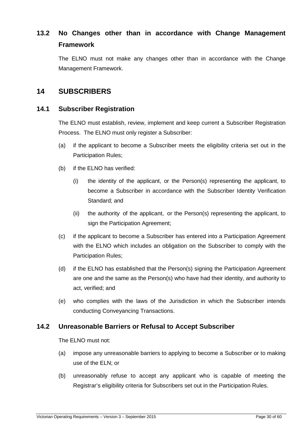# **13.2 No Changes other than in accordance with Change Management Framework**

The ELNO must not make any changes other than in accordance with the Change Management Framework.

# **14 SUBSCRIBERS**

#### **14.1 Subscriber Registration**

The ELNO must establish, review, implement and keep current a Subscriber Registration Process. The ELNO must only register a Subscriber:

- (a) if the applicant to become a Subscriber meets the eligibility criteria set out in the Participation Rules;
- (b) if the ELNO has verified:
	- (i) the identity of the applicant, or the Person(s) representing the applicant, to become a Subscriber in accordance with the Subscriber Identity Verification Standard; and
	- (ii) the authority of the applicant, or the Person(s) representing the applicant, to sign the Participation Agreement;
- (c) if the applicant to become a Subscriber has entered into a Participation Agreement with the ELNO which includes an obligation on the Subscriber to comply with the Participation Rules;
- (d) if the ELNO has established that the Person(s) signing the Participation Agreement are one and the same as the Person(s) who have had their identity, and authority to act, verified; and
- (e) who complies with the laws of the Jurisdiction in which the Subscriber intends conducting Conveyancing Transactions.

#### **14.2 Unreasonable Barriers or Refusal to Accept Subscriber**

The ELNO must not:

- (a) impose any unreasonable barriers to applying to become a Subscriber or to making use of the ELN; or
- (b) unreasonably refuse to accept any applicant who is capable of meeting the Registrar's eligibility criteria for Subscribers set out in the Participation Rules.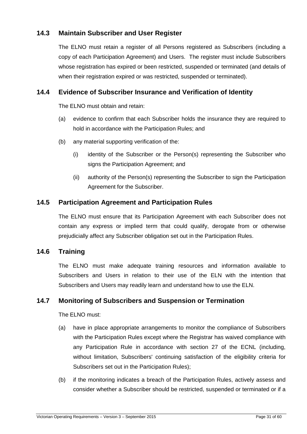## **14.3 Maintain Subscriber and User Register**

The ELNO must retain a register of all Persons registered as Subscribers (including a copy of each Participation Agreement) and Users. The register must include Subscribers whose registration has expired or been restricted, suspended or terminated (and details of when their registration expired or was restricted, suspended or terminated).

## **14.4 Evidence of Subscriber Insurance and Verification of Identity**

The ELNO must obtain and retain:

- (a) evidence to confirm that each Subscriber holds the insurance they are required to hold in accordance with the Participation Rules; and
- (b) any material supporting verification of the:
	- (i) identity of the Subscriber or the Person(s) representing the Subscriber who signs the Participation Agreement; and
	- (ii) authority of the Person(s) representing the Subscriber to sign the Participation Agreement for the Subscriber.

#### **14.5 Participation Agreement and Participation Rules**

The ELNO must ensure that its Participation Agreement with each Subscriber does not contain any express or implied term that could qualify, derogate from or otherwise prejudicially affect any Subscriber obligation set out in the Participation Rules.

#### **14.6 Training**

The ELNO must make adequate training resources and information available to Subscribers and Users in relation to their use of the ELN with the intention that Subscribers and Users may readily learn and understand how to use the ELN.

#### **14.7 Monitoring of Subscribers and Suspension or Termination**

The ELNO must:

- (a) have in place appropriate arrangements to monitor the compliance of Subscribers with the Participation Rules except where the Registrar has waived compliance with any Participation Rule in accordance with section 27 of the ECNL (including, without limitation, Subscribers' continuing satisfaction of the eligibility criteria for Subscribers set out in the Participation Rules);
- (b) if the monitoring indicates a breach of the Participation Rules, actively assess and consider whether a Subscriber should be restricted, suspended or terminated or if a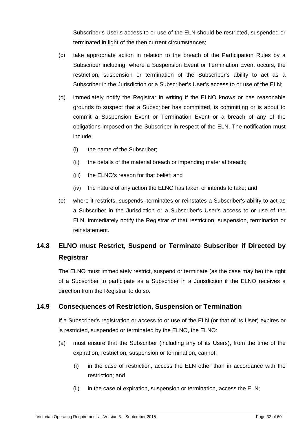Subscriber's User's access to or use of the ELN should be restricted, suspended or terminated in light of the then current circumstances;

- (c) take appropriate action in relation to the breach of the Participation Rules by a Subscriber including, where a Suspension Event or Termination Event occurs, the restriction, suspension or termination of the Subscriber's ability to act as a Subscriber in the Jurisdiction or a Subscriber's User's access to or use of the ELN;
- (d) immediately notify the Registrar in writing if the ELNO knows or has reasonable grounds to suspect that a Subscriber has committed, is committing or is about to commit a Suspension Event or Termination Event or a breach of any of the obligations imposed on the Subscriber in respect of the ELN. The notification must include:
	- (i) the name of the Subscriber;
	- (ii) the details of the material breach or impending material breach;
	- (iii) the ELNO's reason for that belief; and
	- (iv) the nature of any action the ELNO has taken or intends to take; and
- (e) where it restricts, suspends, terminates or reinstates a Subscriber's ability to act as a Subscriber in the Jurisdiction or a Subscriber's User's access to or use of the ELN, immediately notify the Registrar of that restriction, suspension, termination or reinstatement.

# **14.8 ELNO must Restrict, Suspend or Terminate Subscriber if Directed by Registrar**

The ELNO must immediately restrict, suspend or terminate (as the case may be) the right of a Subscriber to participate as a Subscriber in a Jurisdiction if the ELNO receives a direction from the Registrar to do so.

#### **14.9 Consequences of Restriction, Suspension or Termination**

If a Subscriber's registration or access to or use of the ELN (or that of its User) expires or is restricted, suspended or terminated by the ELNO, the ELNO:

- (a) must ensure that the Subscriber (including any of its Users), from the time of the expiration, restriction, suspension or termination, cannot:
	- (i) in the case of restriction, access the ELN other than in accordance with the restriction; and
	- (ii) in the case of expiration, suspension or termination, access the ELN;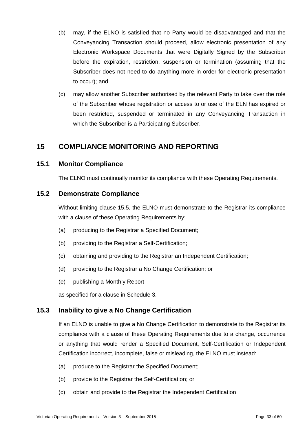- (b) may, if the ELNO is satisfied that no Party would be disadvantaged and that the Conveyancing Transaction should proceed, allow electronic presentation of any Electronic Workspace Documents that were Digitally Signed by the Subscriber before the expiration, restriction, suspension or termination (assuming that the Subscriber does not need to do anything more in order for electronic presentation to occur); and
- (c) may allow another Subscriber authorised by the relevant Party to take over the role of the Subscriber whose registration or access to or use of the ELN has expired or been restricted, suspended or terminated in any Conveyancing Transaction in which the Subscriber is a Participating Subscriber.

# **15 COMPLIANCE MONITORING AND REPORTING**

#### **15.1 Monitor Compliance**

The ELNO must continually monitor its compliance with these Operating Requirements.

#### **15.2 Demonstrate Compliance**

Without limiting clause 15.5, the ELNO must demonstrate to the Registrar its compliance with a clause of these Operating Requirements by:

- (a) producing to the Registrar a Specified Document;
- (b) providing to the Registrar a Self-Certification;
- (c) obtaining and providing to the Registrar an Independent Certification;
- (d) providing to the Registrar a No Change Certification; or
- (e) publishing a Monthly Report

as specified for a clause in Schedule 3.

#### **15.3 Inability to give a No Change Certification**

If an ELNO is unable to give a No Change Certification to demonstrate to the Registrar its compliance with a clause of these Operating Requirements due to a change, occurrence or anything that would render a Specified Document, Self-Certification or Independent Certification incorrect, incomplete, false or misleading, the ELNO must instead:

- (a) produce to the Registrar the Specified Document;
- (b) provide to the Registrar the Self-Certification; or
- (c) obtain and provide to the Registrar the Independent Certification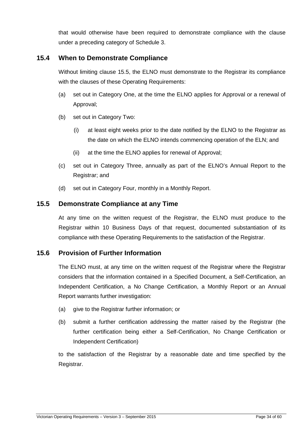that would otherwise have been required to demonstrate compliance with the clause under a preceding category of Schedule 3.

## **15.4 When to Demonstrate Compliance**

Without limiting clause 15.5, the ELNO must demonstrate to the Registrar its compliance with the clauses of these Operating Requirements:

- (a) set out in Category One, at the time the ELNO applies for Approval or a renewal of Approval;
- (b) set out in Category Two:
	- (i) at least eight weeks prior to the date notified by the ELNO to the Registrar as the date on which the ELNO intends commencing operation of the ELN; and
	- (ii) at the time the ELNO applies for renewal of Approval;
- (c) set out in Category Three, annually as part of the ELNO's Annual Report to the Registrar; and
- (d) set out in Category Four, monthly in a Monthly Report.

## **15.5 Demonstrate Compliance at any Time**

At any time on the written request of the Registrar, the ELNO must produce to the Registrar within 10 Business Days of that request, documented substantiation of its compliance with these Operating Requirements to the satisfaction of the Registrar.

#### **15.6 Provision of Further Information**

The ELNO must, at any time on the written request of the Registrar where the Registrar considers that the information contained in a Specified Document, a Self-Certification, an Independent Certification, a No Change Certification, a Monthly Report or an Annual Report warrants further investigation:

- (a) give to the Registrar further information; or
- (b) submit a further certification addressing the matter raised by the Registrar (the further certification being either a Self-Certification, No Change Certification or Independent Certification)

to the satisfaction of the Registrar by a reasonable date and time specified by the Registrar.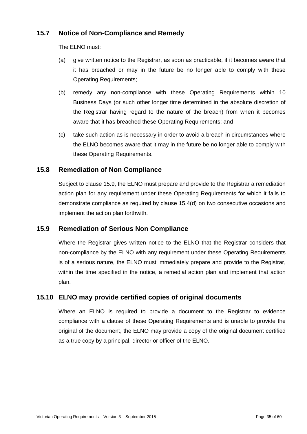## **15.7 Notice of Non-Compliance and Remedy**

The ELNO must:

- (a) give written notice to the Registrar, as soon as practicable, if it becomes aware that it has breached or may in the future be no longer able to comply with these Operating Requirements;
- (b) remedy any non-compliance with these Operating Requirements within 10 Business Days (or such other longer time determined in the absolute discretion of the Registrar having regard to the nature of the breach) from when it becomes aware that it has breached these Operating Requirements; and
- (c) take such action as is necessary in order to avoid a breach in circumstances where the ELNO becomes aware that it may in the future be no longer able to comply with these Operating Requirements.

## **15.8 Remediation of Non Compliance**

Subject to clause 15.9, the ELNO must prepare and provide to the Registrar a remediation action plan for any requirement under these Operating Requirements for which it fails to demonstrate compliance as required by clause 15.4(d) on two consecutive occasions and implement the action plan forthwith.

#### **15.9 Remediation of Serious Non Compliance**

Where the Registrar gives written notice to the ELNO that the Registrar considers that non-compliance by the ELNO with any requirement under these Operating Requirements is of a serious nature, the ELNO must immediately prepare and provide to the Registrar, within the time specified in the notice, a remedial action plan and implement that action plan.

## **15.10 ELNO may provide certified copies of original documents**

Where an ELNO is required to provide a document to the Registrar to evidence compliance with a clause of these Operating Requirements and is unable to provide the original of the document, the ELNO may provide a copy of the original document certified as a true copy by a principal, director or officer of the ELNO.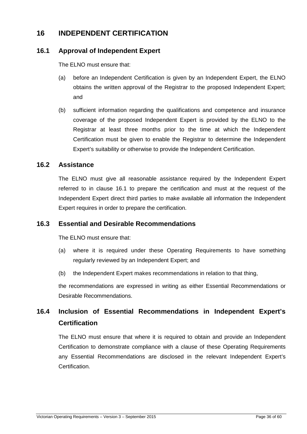# **16 INDEPENDENT CERTIFICATION**

## **16.1 Approval of Independent Expert**

The ELNO must ensure that:

- (a) before an Independent Certification is given by an Independent Expert, the ELNO obtains the written approval of the Registrar to the proposed Independent Expert; and
- (b) sufficient information regarding the qualifications and competence and insurance coverage of the proposed Independent Expert is provided by the ELNO to the Registrar at least three months prior to the time at which the Independent Certification must be given to enable the Registrar to determine the Independent Expert's suitability or otherwise to provide the Independent Certification.

## **16.2 Assistance**

The ELNO must give all reasonable assistance required by the Independent Expert referred to in clause 16.1 to prepare the certification and must at the request of the Independent Expert direct third parties to make available all information the Independent Expert requires in order to prepare the certification.

## **16.3 Essential and Desirable Recommendations**

The ELNO must ensure that:

- (a) where it is required under these Operating Requirements to have something regularly reviewed by an Independent Expert; and
- (b) the Independent Expert makes recommendations in relation to that thing,

the recommendations are expressed in writing as either Essential Recommendations or Desirable Recommendations.

# **16.4 Inclusion of Essential Recommendations in Independent Expert's Certification**

The ELNO must ensure that where it is required to obtain and provide an Independent Certification to demonstrate compliance with a clause of these Operating Requirements any Essential Recommendations are disclosed in the relevant Independent Expert's Certification.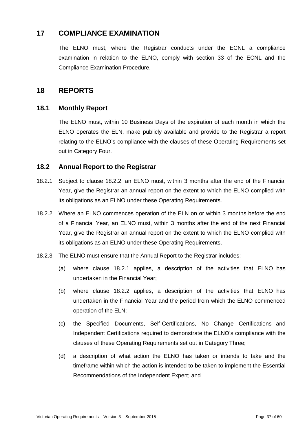# **17 COMPLIANCE EXAMINATION**

The ELNO must, where the Registrar conducts under the ECNL a compliance examination in relation to the ELNO, comply with section 33 of the ECNL and the Compliance Examination Procedure.

## **18 REPORTS**

#### **18.1 Monthly Report**

The ELNO must, within 10 Business Days of the expiration of each month in which the ELNO operates the ELN, make publicly available and provide to the Registrar a report relating to the ELNO's compliance with the clauses of these Operating Requirements set out in Category Four.

#### **18.2 Annual Report to the Registrar**

- 18.2.1 Subject to clause 18.2.2, an ELNO must, within 3 months after the end of the Financial Year, give the Registrar an annual report on the extent to which the ELNO complied with its obligations as an ELNO under these Operating Requirements.
- 18.2.2 Where an ELNO commences operation of the ELN on or within 3 months before the end of a Financial Year, an ELNO must, within 3 months after the end of the next Financial Year, give the Registrar an annual report on the extent to which the ELNO complied with its obligations as an ELNO under these Operating Requirements.
- 18.2.3 The ELNO must ensure that the Annual Report to the Registrar includes:
	- (a) where clause 18.2.1 applies, a description of the activities that ELNO has undertaken in the Financial Year;
	- (b) where clause 18.2.2 applies, a description of the activities that ELNO has undertaken in the Financial Year and the period from which the ELNO commenced operation of the ELN;
	- (c) the Specified Documents, Self-Certifications, No Change Certifications and Independent Certifications required to demonstrate the ELNO's compliance with the clauses of these Operating Requirements set out in Category Three;
	- (d) a description of what action the ELNO has taken or intends to take and the timeframe within which the action is intended to be taken to implement the Essential Recommendations of the Independent Expert; and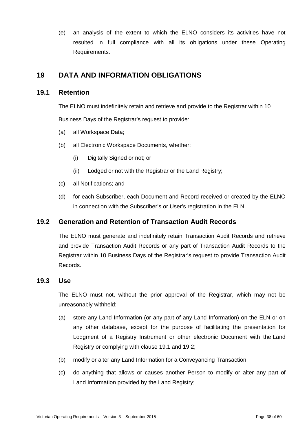(e) an analysis of the extent to which the ELNO considers its activities have not resulted in full compliance with all its obligations under these Operating Requirements.

# **19 DATA AND INFORMATION OBLIGATIONS**

#### **19.1 Retention**

The ELNO must indefinitely retain and retrieve and provide to the Registrar within 10 Business Days of the Registrar's request to provide:

- (a) all Workspace Data;
- (b) all Electronic Workspace Documents, whether:
	- (i) Digitally Signed or not; or
	- (ii) Lodged or not with the Registrar or the Land Registry;
- (c) all Notifications; and
- (d) for each Subscriber, each Document and Record received or created by the ELNO in connection with the Subscriber's or User's registration in the ELN.

## **19.2 Generation and Retention of Transaction Audit Records**

The ELNO must generate and indefinitely retain Transaction Audit Records and retrieve and provide Transaction Audit Records or any part of Transaction Audit Records to the Registrar within 10 Business Days of the Registrar's request to provide Transaction Audit Records.

#### **19.3 Use**

The ELNO must not, without the prior approval of the Registrar, which may not be unreasonably withheld:

- (a) store any Land Information (or any part of any Land Information) on the ELN or on any other database, except for the purpose of facilitating the presentation for Lodgment of a Registry Instrument or other electronic Document with the Land Registry or complying with clause 19.1 and 19.2;
- (b) modify or alter any Land Information for a Conveyancing Transaction;
- (c) do anything that allows or causes another Person to modify or alter any part of Land Information provided by the Land Registry;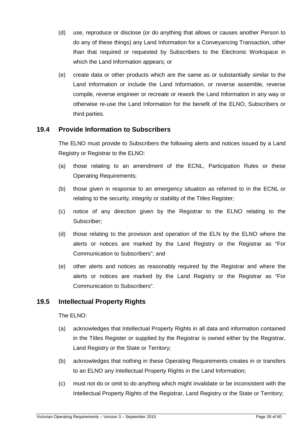- (d) use, reproduce or disclose (or do anything that allows or causes another Person to do any of these things) any Land Information for a Conveyancing Transaction, other than that required or requested by Subscribers to the Electronic Workspace in which the Land Information appears; or
- (e) create data or other products which are the same as or substantially similar to the Land Information or include the Land Information, or reverse assemble, reverse compile, reverse engineer or recreate or rework the Land Information in any way or otherwise re-use the Land Information for the benefit of the ELNO, Subscribers or third parties.

#### **19.4 Provide Information to Subscribers**

The ELNO must provide to Subscribers the following alerts and notices issued by a Land Registry or Registrar to the ELNO:

- (a) those relating to an amendment of the ECNL, Participation Rules or these Operating Requirements;
- (b) those given in response to an emergency situation as referred to in the ECNL or relating to the security, integrity or stability of the Titles Register;
- (c) notice of any direction given by the Registrar to the ELNO relating to the Subscriber;
- (d) those relating to the provision and operation of the ELN by the ELNO where the alerts or notices are marked by the Land Registry or the Registrar as "For Communication to Subscribers"; and
- (e) other alerts and notices as reasonably required by the Registrar and where the alerts or notices are marked by the Land Registry or the Registrar as "For Communication to Subscribers".

#### **19.5 Intellectual Property Rights**

The ELNO:

- (a) acknowledges that Intellectual Property Rights in all data and information contained in the Titles Register or supplied by the Registrar is owned either by the Registrar, Land Registry or the State or Territory;
- (b) acknowledges that nothing in these Operating Requirements creates in or transfers to an ELNO any Intellectual Property Rights in the Land Information;
- (c) must not do or omit to do anything which might invalidate or be inconsistent with the Intellectual Property Rights of the Registrar, Land Registry or the State or Territory;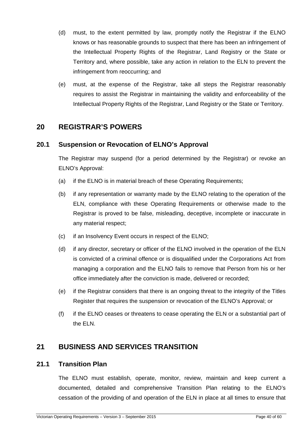- (d) must, to the extent permitted by law, promptly notify the Registrar if the ELNO knows or has reasonable grounds to suspect that there has been an infringement of the Intellectual Property Rights of the Registrar, Land Registry or the State or Territory and, where possible, take any action in relation to the ELN to prevent the infringement from reoccurring; and
- (e) must, at the expense of the Registrar, take all steps the Registrar reasonably requires to assist the Registrar in maintaining the validity and enforceability of the Intellectual Property Rights of the Registrar, Land Registry or the State or Territory.

## **20 REGISTRAR'S POWERS**

## **20.1 Suspension or Revocation of ELNO's Approval**

The Registrar may suspend (for a period determined by the Registrar) or revoke an ELNO's Approval:

- (a) if the ELNO is in material breach of these Operating Requirements;
- (b) if any representation or warranty made by the ELNO relating to the operation of the ELN, compliance with these Operating Requirements or otherwise made to the Registrar is proved to be false, misleading, deceptive, incomplete or inaccurate in any material respect;
- (c) if an Insolvency Event occurs in respect of the ELNO;
- (d) if any director, secretary or officer of the ELNO involved in the operation of the ELN is convicted of a criminal offence or is disqualified under the Corporations Act from managing a corporation and the ELNO fails to remove that Person from his or her office immediately after the conviction is made, delivered or recorded;
- (e) if the Registrar considers that there is an ongoing threat to the integrity of the Titles Register that requires the suspension or revocation of the ELNO's Approval; or
- (f) if the ELNO ceases or threatens to cease operating the ELN or a substantial part of the ELN.

# **21 BUSINESS AND SERVICES TRANSITION**

#### **21.1 Transition Plan**

The ELNO must establish, operate, monitor, review, maintain and keep current a documented, detailed and comprehensive Transition Plan relating to the ELNO's cessation of the providing of and operation of the ELN in place at all times to ensure that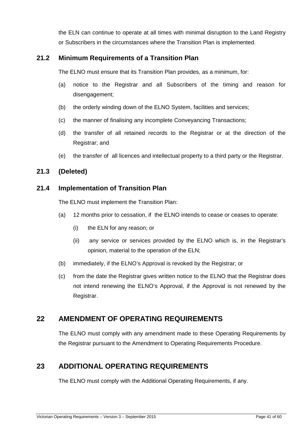the ELN can continue to operate at all times with minimal disruption to the Land Registry or Subscribers in the circumstances where the Transition Plan is implemented.

## **21.2 Minimum Requirements of a Transition Plan**

The ELNO must ensure that its Transition Plan provides, as a minimum, for:

- (a) notice to the Registrar and all Subscribers of the timing and reason for disengagement;
- (b) the orderly winding down of the ELNO System, facilities and services;
- (c) the manner of finalising any incomplete Conveyancing Transactions;
- (d) the transfer of all retained records to the Registrar or at the direction of the Registrar; and
- (e) the transfer of all licences and intellectual property to a third party or the Registrar.

## **21.3 (Deleted)**

#### **21.4 Implementation of Transition Plan**

The ELNO must implement the Transition Plan:

- (a) 12 months prior to cessation, if the ELNO intends to cease or ceases to operate:
	- (i) the ELN for any reason; or
	- (ii) any service or services provided by the ELNO which is, in the Registrar's opinion, material to the operation of the ELN;
- (b) immediately, if the ELNO's Approval is revoked by the Registrar; or
- (c) from the date the Registrar gives written notice to the ELNO that the Registrar does not intend renewing the ELNO's Approval, if the Approval is not renewed by the Registrar.

# **22 AMENDMENT OF OPERATING REQUIREMENTS**

The ELNO must comply with any amendment made to these Operating Requirements by the Registrar pursuant to the Amendment to Operating Requirements Procedure.

# **23 ADDITIONAL OPERATING REQUIREMENTS**

The ELNO must comply with the Additional Operating Requirements, if any.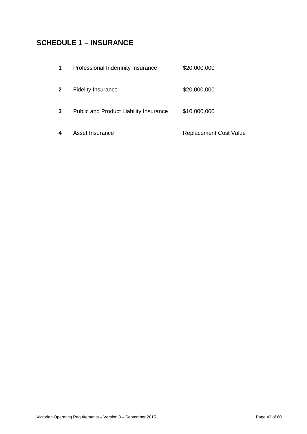# **SCHEDULE 1 – INSURANCE**

| 1            | Professional Indemnity Insurance              | \$20,000,000                  |
|--------------|-----------------------------------------------|-------------------------------|
| $\mathbf{2}$ | <b>Fidelity Insurance</b>                     | \$20,000,000                  |
| 3            | <b>Public and Product Liability Insurance</b> | \$10,000,000                  |
| 4            | Asset Insurance                               | <b>Replacement Cost Value</b> |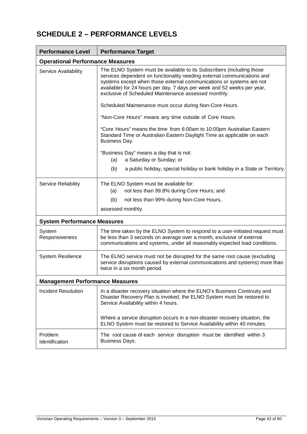# **SCHEDULE 2 – PERFORMANCE LEVELS**

| <b>Performance Level</b>               | <b>Performance Target</b>                                                                                                                                                                                                                                                                                                                                                                                              |  |  |  |  |  |
|----------------------------------------|------------------------------------------------------------------------------------------------------------------------------------------------------------------------------------------------------------------------------------------------------------------------------------------------------------------------------------------------------------------------------------------------------------------------|--|--|--|--|--|
|                                        | <b>Operational Performance Measures</b>                                                                                                                                                                                                                                                                                                                                                                                |  |  |  |  |  |
| Service Availability                   | The ELNO System must be available to its Subscribers (including those<br>services dependent on functionality needing external communications and<br>systems except when those external communications or systems are not<br>available) for 24 hours per day, 7 days per week and 52 weeks per year,<br>exclusive of Scheduled Maintenance assessed monthly.<br>Scheduled Maintenance must occur during Non-Core Hours. |  |  |  |  |  |
|                                        |                                                                                                                                                                                                                                                                                                                                                                                                                        |  |  |  |  |  |
|                                        | "Non-Core Hours" means any time outside of Core Hours.                                                                                                                                                                                                                                                                                                                                                                 |  |  |  |  |  |
|                                        | "Core Hours" means the time from 6:00am to 10:00pm Australian Eastern<br>Standard Time or Australian Eastern Daylight Time as applicable on each<br>Business Day.                                                                                                                                                                                                                                                      |  |  |  |  |  |
|                                        | "Business Day" means a day that is not:                                                                                                                                                                                                                                                                                                                                                                                |  |  |  |  |  |
|                                        | (a)<br>a Saturday or Sunday; or                                                                                                                                                                                                                                                                                                                                                                                        |  |  |  |  |  |
|                                        | (b)<br>a public holiday, special holiday or bank holiday in a State or Territory.                                                                                                                                                                                                                                                                                                                                      |  |  |  |  |  |
| <b>Service Reliability</b>             | The ELNO System must be available for:                                                                                                                                                                                                                                                                                                                                                                                 |  |  |  |  |  |
|                                        | not less than 99.8% during Core Hours; and<br>(a)                                                                                                                                                                                                                                                                                                                                                                      |  |  |  |  |  |
|                                        | (b)<br>not less than 99% during Non-Core Hours,                                                                                                                                                                                                                                                                                                                                                                        |  |  |  |  |  |
|                                        | assessed monthly.                                                                                                                                                                                                                                                                                                                                                                                                      |  |  |  |  |  |
| <b>System Performance Measures</b>     |                                                                                                                                                                                                                                                                                                                                                                                                                        |  |  |  |  |  |
| System<br>Responsiveness               | The time taken by the ELNO System to respond to a user-initiated request must<br>be less than 3 seconds on average over a month, exclusive of external<br>communications and systems, under all reasonably expected load conditions.                                                                                                                                                                                   |  |  |  |  |  |
| <b>System Resilience</b>               | The ELNO service must not be disrupted for the same root cause (excluding<br>service disruptions caused by external communications and systems) more than<br>twice in a six month period.                                                                                                                                                                                                                              |  |  |  |  |  |
| <b>Management Performance Measures</b> |                                                                                                                                                                                                                                                                                                                                                                                                                        |  |  |  |  |  |
| Incident Resolution                    | In a disaster recovery situation where the ELNO's Business Continuity and<br>Disaster Recovery Plan is invoked, the ELNO System must be restored to<br>Service Availability within 4 hours.                                                                                                                                                                                                                            |  |  |  |  |  |
|                                        | Where a service disruption occurs in a non-disaster recovery situation, the<br>ELNO System must be restored to Service Availability within 40 minutes.                                                                                                                                                                                                                                                                 |  |  |  |  |  |
| Problem<br>Identification              | The root cause of each service disruption must be identified within 3<br><b>Business Days.</b>                                                                                                                                                                                                                                                                                                                         |  |  |  |  |  |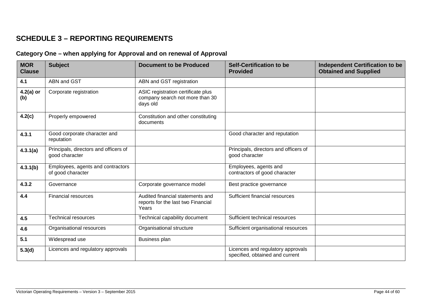# **SCHEDULE 3 – REPORTING REQUIREMENTS**

#### **Category One – when applying for Approval and on renewal of Approval**

| <b>MOR</b><br><b>Clause</b> | <b>Subject</b>                                          | <b>Document to be Produced</b>                                                    | <b>Self-Certification to be</b><br><b>Provided</b>                   | Independent Certification to be<br><b>Obtained and Supplied</b> |
|-----------------------------|---------------------------------------------------------|-----------------------------------------------------------------------------------|----------------------------------------------------------------------|-----------------------------------------------------------------|
| 4.1                         | ABN and GST                                             | ABN and GST registration                                                          |                                                                      |                                                                 |
| $4.2(a)$ or<br>(b)          | Corporate registration                                  | ASIC registration certificate plus<br>company search not more than 30<br>days old |                                                                      |                                                                 |
| 4.2(c)                      | Properly empowered                                      | Constitution and other constituting<br>documents                                  |                                                                      |                                                                 |
| 4.3.1                       | Good corporate character and<br>reputation              |                                                                                   | Good character and reputation                                        |                                                                 |
| 4.3.1(a)                    | Principals, directors and officers of<br>good character |                                                                                   | Principals, directors and officers of<br>good character              |                                                                 |
| 4.3.1(b)                    | Employees, agents and contractors<br>of good character  |                                                                                   | Employees, agents and<br>contractors of good character               |                                                                 |
| 4.3.2                       | Governance                                              | Corporate governance model                                                        | Best practice governance                                             |                                                                 |
| 4.4                         | <b>Financial resources</b>                              | Audited financial statements and<br>reports for the last two Financial<br>Years   | Sufficient financial resources                                       |                                                                 |
| 4.5                         | <b>Technical resources</b>                              | Technical capability document                                                     | Sufficient technical resources                                       |                                                                 |
| 4.6                         | Organisational resources                                | Organisational structure                                                          | Sufficient organisational resources                                  |                                                                 |
| 5.1                         | Widespread use                                          | Business plan                                                                     |                                                                      |                                                                 |
| 5.3(d)                      | Licences and regulatory approvals                       |                                                                                   | Licences and regulatory approvals<br>specified, obtained and current |                                                                 |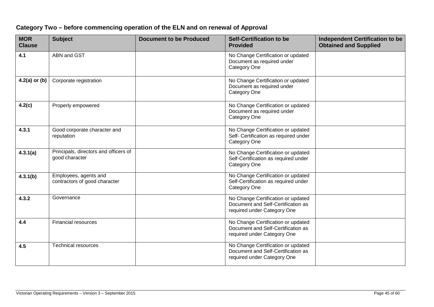| <b>MOR</b><br><b>Clause</b> | <b>Subject</b>                                          | <b>Document to be Produced</b> | <b>Self-Certification to be</b><br><b>Provided</b>                                                      | <b>Independent Certification to be</b><br><b>Obtained and Supplied</b> |
|-----------------------------|---------------------------------------------------------|--------------------------------|---------------------------------------------------------------------------------------------------------|------------------------------------------------------------------------|
| 4.1                         | ABN and GST                                             |                                | No Change Certification or updated<br>Document as required under<br>Category One                        |                                                                        |
| $4.2(a)$ or (b)             | Corporate registration                                  |                                | No Change Certification or updated<br>Document as required under<br>Category One                        |                                                                        |
| 4.2(c)                      | Properly empowered                                      |                                | No Change Certification or updated<br>Document as required under<br>Category One                        |                                                                        |
| 4.3.1                       | Good corporate character and<br>reputation              |                                | No Change Certification or updated<br>Self- Certification as required under<br>Category One             |                                                                        |
| 4.3.1(a)                    | Principals, directors and officers of<br>good character |                                | No Change Certification or updated<br>Self-Certification as required under<br>Category One              |                                                                        |
| 4.3.1(b)                    | Employees, agents and<br>contractors of good character  |                                | No Change Certification or updated<br>Self-Certification as required under<br>Category One              |                                                                        |
| 4.3.2                       | Governance                                              |                                | No Change Certification or updated<br>Document and Self-Certification as<br>required under Category One |                                                                        |
| 4.4                         | <b>Financial resources</b>                              |                                | No Change Certification or updated<br>Document and Self-Certification as<br>required under Category One |                                                                        |
| 4.5                         | <b>Technical resources</b>                              |                                | No Change Certification or updated<br>Document and Self-Certification as<br>required under Category One |                                                                        |

## **Category Two – before commencing operation of the ELN and on renewal of Approval**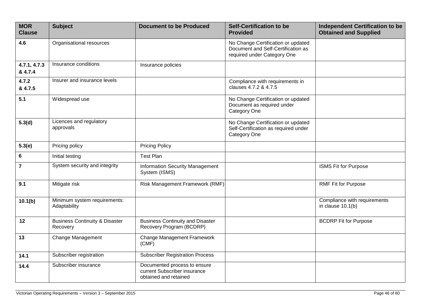| <b>MOR</b><br><b>Clause</b> | <b>Subject</b>                                        | <b>Document to be Produced</b>                                                        | <b>Self-Certification to be</b><br><b>Provided</b>                                                      | <b>Independent Certification to be</b><br><b>Obtained and Supplied</b> |
|-----------------------------|-------------------------------------------------------|---------------------------------------------------------------------------------------|---------------------------------------------------------------------------------------------------------|------------------------------------------------------------------------|
| 4.6                         | Organisational resources                              |                                                                                       | No Change Certification or updated<br>Document and Self-Certification as<br>required under Category One |                                                                        |
| 4.7.1, 4.7.3<br>& 4.7.4     | Insurance conditions                                  | Insurance policies                                                                    |                                                                                                         |                                                                        |
| 4.7.2<br>& 4.7.5            | Insurer and insurance levels                          |                                                                                       | Compliance with requirements in<br>clauses 4.7.2 & 4.7.5                                                |                                                                        |
| 5.1                         | Widespread use                                        |                                                                                       | No Change Certification or updated<br>Document as required under<br>Category One                        |                                                                        |
| 5.3(d)                      | Licences and regulatory<br>approvals                  |                                                                                       | No Change Certification or updated<br>Self-Certification as required under<br>Category One              |                                                                        |
| 5.3(e)                      | Pricing policy                                        | <b>Pricing Policy</b>                                                                 |                                                                                                         |                                                                        |
| $\bf 6$                     | Initial testing                                       | <b>Test Plan</b>                                                                      |                                                                                                         |                                                                        |
| $\overline{7}$              | System security and integrity                         | <b>Information Security Management</b><br>System (ISMS)                               |                                                                                                         | <b>ISMS Fit for Purpose</b>                                            |
| 9.1                         | Mitigate risk                                         | Risk Management Framework (RMF)                                                       |                                                                                                         | <b>RMF Fit for Purpose</b>                                             |
| 10.1(b)                     | Minimum system requirements:<br>Adaptability          |                                                                                       |                                                                                                         | Compliance with requirements<br>in clause $10.1(b)$                    |
| 12                          | <b>Business Continuity &amp; Disaster</b><br>Recovery | <b>Business Continuity and Disaster</b><br>Recovery Program (BCDRP)                   |                                                                                                         | <b>BCDRP Fit for Purpose</b>                                           |
| 13                          | Change Management                                     | Change Management Framework<br>(CMF)                                                  |                                                                                                         |                                                                        |
| 14.1                        | Subscriber registration                               | <b>Subscriber Registration Process</b>                                                |                                                                                                         |                                                                        |
| 14.4                        | Subscriber insurance                                  | Documented process to ensure<br>current Subscriber insurance<br>obtained and retained |                                                                                                         |                                                                        |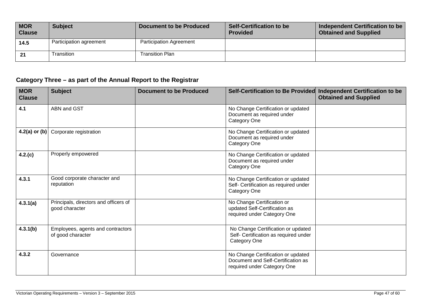| <b>MOR</b><br><b>Clause</b> | <b>Subject</b>          | <b>Document to be Produced</b> | Self-Certification to be<br><b>Provided</b> | Independent Certification to be<br><b>Obtained and Supplied</b> |
|-----------------------------|-------------------------|--------------------------------|---------------------------------------------|-----------------------------------------------------------------|
| 14.5                        | Participation agreement | <b>Participation Agreement</b> |                                             |                                                                 |
| 21                          | <b>Transition</b>       | Transition Plan                |                                             |                                                                 |

# **Category Three – as part of the Annual Report to the Registrar**

| <b>MOR</b><br><b>Clause</b> | <b>Subject</b>                                          | <b>Document to be Produced</b> |                                                                                                         | Self-Certification to Be Provided Independent Certification to be<br><b>Obtained and Supplied</b> |
|-----------------------------|---------------------------------------------------------|--------------------------------|---------------------------------------------------------------------------------------------------------|---------------------------------------------------------------------------------------------------|
| 4.1                         | ABN and GST                                             |                                | No Change Certification or updated<br>Document as required under<br>Category One                        |                                                                                                   |
| $4.2(a)$ or (b)             | Corporate registration                                  |                                | No Change Certification or updated<br>Document as required under<br>Category One                        |                                                                                                   |
| 4.2(c)                      | Properly empowered                                      |                                | No Change Certification or updated<br>Document as required under<br>Category One                        |                                                                                                   |
| 4.3.1                       | Good corporate character and<br>reputation              |                                | No Change Certification or updated<br>Self- Certification as required under<br>Category One             |                                                                                                   |
| 4.3.1(a)                    | Principals, directors and officers of<br>good character |                                | No Change Certification or<br>updated Self-Certification as<br>required under Category One              |                                                                                                   |
| 4.3.1(b)                    | Employees, agents and contractors<br>of good character  |                                | No Change Certification or updated<br>Self- Certification as required under<br>Category One             |                                                                                                   |
| 4.3.2                       | Governance                                              |                                | No Change Certification or updated<br>Document and Self-Certification as<br>required under Category One |                                                                                                   |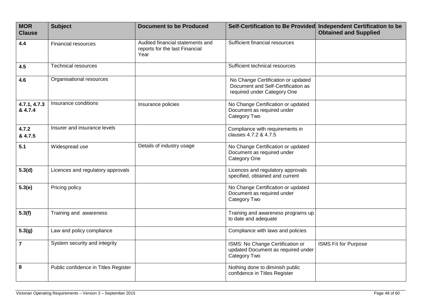| <b>MOR</b><br><b>Clause</b> | <b>Subject</b>                       | <b>Document to be Produced</b>                                             | Self-Certification to Be Provided                                                                       | <b>Independent Certification to be</b><br><b>Obtained and Supplied</b> |
|-----------------------------|--------------------------------------|----------------------------------------------------------------------------|---------------------------------------------------------------------------------------------------------|------------------------------------------------------------------------|
| 4.4                         | <b>Financial resources</b>           | Audited financial statements and<br>reports for the last Financial<br>Year | Sufficient financial resources                                                                          |                                                                        |
| 4.5                         | <b>Technical resources</b>           |                                                                            | Sufficient technical resources                                                                          |                                                                        |
| 4.6                         | Organisational resources             |                                                                            | No Change Certification or updated<br>Document and Self-Certification as<br>required under Category One |                                                                        |
| 4.7.1, 4.7.3<br>& 4.7.4     | Insurance conditions                 | Insurance policies                                                         | No Change Certification or updated<br>Document as required under<br>Category Two                        |                                                                        |
| 4.7.2<br>& 4.7.5            | Insurer and insurance levels         |                                                                            | Compliance with requirements in<br>clauses 4.7.2 & 4.7.5                                                |                                                                        |
| 5.1                         | Widespread use                       | Details of industry usage                                                  | No Change Certification or updated<br>Document as required under<br>Category One                        |                                                                        |
| 5.3(d)                      | Licences and regulatory approvals    |                                                                            | Licences and regulatory approvals<br>specified, obtained and current                                    |                                                                        |
| 5.3(e)                      | Pricing policy                       |                                                                            | No Change Certification or updated<br>Document as required under<br>Category Two                        |                                                                        |
| 5.3(f)                      | Training and awareness               |                                                                            | Training and awareness programs up<br>to date and adequate                                              |                                                                        |
| 5.3(g)                      | Law and policy compliance            |                                                                            | Compliance with laws and policies                                                                       |                                                                        |
| $\overline{7}$              | System security and integrity        |                                                                            | ISMS: No Change Certification or<br>updated Document as required under<br>Category Two                  | <b>ISMS Fit for Purpose</b>                                            |
| 8                           | Public confidence in Titles Register |                                                                            | Nothing done to diminish public<br>confidence in Titles Register                                        |                                                                        |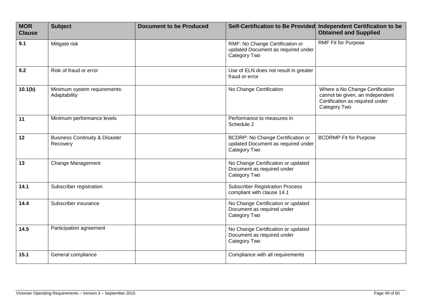| <b>MOR</b><br><b>Clause</b> | <b>Subject</b>                                        | <b>Document to be Produced</b> |                                                                                                | Self-Certification to Be Provided Independent Certification to be<br><b>Obtained and Supplied</b>                     |
|-----------------------------|-------------------------------------------------------|--------------------------------|------------------------------------------------------------------------------------------------|-----------------------------------------------------------------------------------------------------------------------|
| 9.1                         | Mitigate risk                                         |                                | RMF: No Change Certification or<br>updated Document as required under<br>Category Two          | <b>RMF Fit for Purpose</b>                                                                                            |
| 9.2                         | Risk of fraud or error                                |                                | Use of ELN does not result in greater<br>fraud or error                                        |                                                                                                                       |
| 10.1(b)                     | Minimum system requirements:<br>Adaptability          |                                | No Change Certification                                                                        | Where a No Change Certification<br>cannot be given, an Independent<br>Certification as required under<br>Category Two |
| 11                          | Minimum performance levels                            |                                | Performance to measures in<br>Schedule 2                                                       |                                                                                                                       |
| 12                          | <b>Business Continuity &amp; Disaster</b><br>Recovery |                                | <b>BCDRP: No Change Certification or</b><br>updated Document as required under<br>Category Two | <b>BCDRMP Fit for Purpose</b>                                                                                         |
| 13                          | <b>Change Management</b>                              |                                | No Change Certification or updated<br>Document as required under<br>Category Two               |                                                                                                                       |
| 14.1                        | Subscriber registration                               |                                | <b>Subscriber Registration Process</b><br>compliant with clause 14.1                           |                                                                                                                       |
| 14.4                        | Subscriber insurance                                  |                                | No Change Certification or updated<br>Document as required under<br>Category Two               |                                                                                                                       |
| 14.5                        | Participation agreement                               |                                | No Change Certification or updated<br>Document as required under<br>Category Two               |                                                                                                                       |
| 15.1                        | General compliance                                    |                                | Compliance with all requirements                                                               |                                                                                                                       |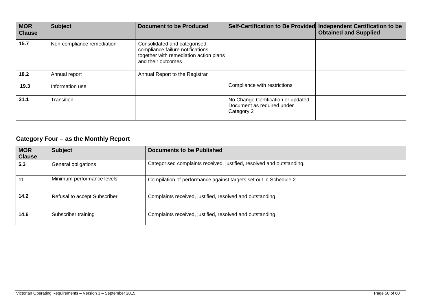| <b>MOR</b><br><b>Clause</b> | <b>Subject</b>             | <b>Document to be Produced</b>                                                                                                   |                                                                                | Self-Certification to Be Provided Independent Certification to be<br><b>Obtained and Supplied</b> |
|-----------------------------|----------------------------|----------------------------------------------------------------------------------------------------------------------------------|--------------------------------------------------------------------------------|---------------------------------------------------------------------------------------------------|
| 15.7                        | Non-compliance remediation | Consolidated and categorised<br>compliance failure notifications<br>together with remediation action plans<br>and their outcomes |                                                                                |                                                                                                   |
| 18.2                        | Annual report              | Annual Report to the Registrar                                                                                                   |                                                                                |                                                                                                   |
| 19.3                        | Information use            |                                                                                                                                  | Compliance with restrictions                                                   |                                                                                                   |
| 21.1                        | Transition                 |                                                                                                                                  | No Change Certification or updated<br>Document as required under<br>Category 2 |                                                                                                   |

# **Category Four – as the Monthly Report**

| <b>MOR</b><br><b>Clause</b> | <b>Subject</b>               | <b>Documents to be Published</b>                                      |
|-----------------------------|------------------------------|-----------------------------------------------------------------------|
| 5.3                         | General obligations          | Categorised complaints received, justified, resolved and outstanding. |
| 11                          | Minimum performance levels   | Compilation of performance against targets set out in Schedule 2.     |
| 14.2                        | Refusal to accept Subscriber | Complaints received, justified, resolved and outstanding.             |
| 14.6                        | Subscriber training          | Complaints received, justified, resolved and outstanding.             |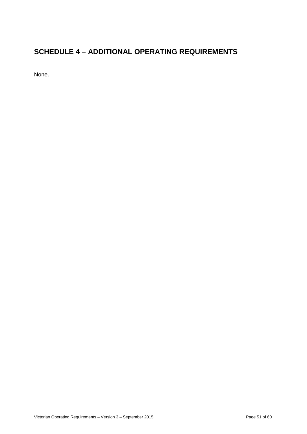# **SCHEDULE 4 – ADDITIONAL OPERATING REQUIREMENTS**

None.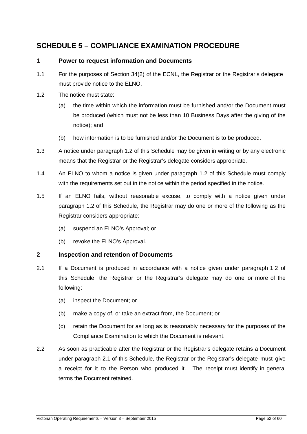# **SCHEDULE 5 – COMPLIANCE EXAMINATION PROCEDURE**

#### **1 Power to request information and Documents**

- 1.1 For the purposes of Section 34(2) of the ECNL, the Registrar or the Registrar's delegate must provide notice to the ELNO.
- 1.2 The notice must state:
	- (a) the time within which the information must be furnished and/or the Document must be produced (which must not be less than 10 Business Days after the giving of the notice); and
	- (b) how information is to be furnished and/or the Document is to be produced.
- 1.3 A notice under paragraph 1.2 of this Schedule may be given in writing or by any electronic means that the Registrar or the Registrar's delegate considers appropriate.
- 1.4 An ELNO to whom a notice is given under paragraph 1.2 of this Schedule must comply with the requirements set out in the notice within the period specified in the notice.
- 1.5 If an ELNO fails, without reasonable excuse, to comply with a notice given under paragraph 1.2 of this Schedule, the Registrar may do one or more of the following as the Registrar considers appropriate:
	- (a) suspend an ELNO's Approval; or
	- (b) revoke the ELNO's Approval.

#### **2 Inspection and retention of Documents**

- 2.1 If a Document is produced in accordance with a notice given under paragraph 1.2 of this Schedule, the Registrar or the Registrar's delegate may do one or more of the following:
	- (a) inspect the Document; or
	- (b) make a copy of, or take an extract from, the Document; or
	- (c) retain the Document for as long as is reasonably necessary for the purposes of the Compliance Examination to which the Document is relevant.
- 2.2 As soon as practicable after the Registrar or the Registrar's delegate retains a Document under paragraph 2.1 of this Schedule, the Registrar or the Registrar's delegate must give a receipt for it to the Person who produced it. The receipt must identify in general terms the Document retained.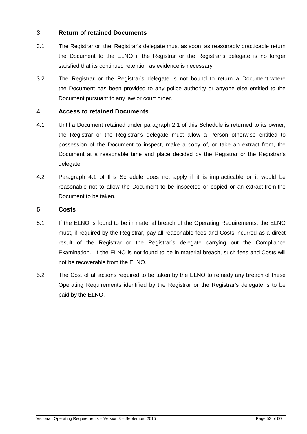#### **3 Return of retained Documents**

- 3.1 The Registrar or the Registrar's delegate must as soon as reasonably practicable return the Document to the ELNO if the Registrar or the Registrar's delegate is no longer satisfied that its continued retention as evidence is necessary.
- 3.2 The Registrar or the Registrar's delegate is not bound to return a Document where the Document has been provided to any police authority or anyone else entitled to the Document pursuant to any law or court order.

#### **4 Access to retained Documents**

- 4.1 Until a Document retained under paragraph 2.1 of this Schedule is returned to its owner, the Registrar or the Registrar's delegate must allow a Person otherwise entitled to possession of the Document to inspect, make a copy of, or take an extract from, the Document at a reasonable time and place decided by the Registrar or the Registrar's delegate.
- 4.2 Paragraph 4.1 of this Schedule does not apply if it is impracticable or it would be reasonable not to allow the Document to be inspected or copied or an extract from the Document to be taken.

#### **5 Costs**

- 5.1 If the ELNO is found to be in material breach of the Operating Requirements, the ELNO must, if required by the Registrar, pay all reasonable fees and Costs incurred as a direct result of the Registrar or the Registrar's delegate carrying out the Compliance Examination. If the ELNO is not found to be in material breach, such fees and Costs will not be recoverable from the ELNO.
- 5.2 The Cost of all actions required to be taken by the ELNO to remedy any breach of these Operating Requirements identified by the Registrar or the Registrar's delegate is to be paid by the ELNO.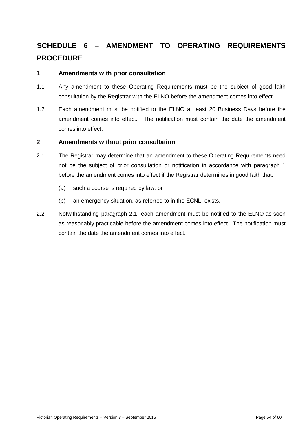# **SCHEDULE 6 – AMENDMENT TO OPERATING REQUIREMENTS PROCEDURE**

#### **1 Amendments with prior consultation**

- 1.1 Any amendment to these Operating Requirements must be the subject of good faith consultation by the Registrar with the ELNO before the amendment comes into effect.
- 1.2 Each amendment must be notified to the ELNO at least 20 Business Days before the amendment comes into effect. The notification must contain the date the amendment comes into effect.

#### **2 Amendments without prior consultation**

- 2.1 The Registrar may determine that an amendment to these Operating Requirements need not be the subject of prior consultation or notification in accordance with paragraph 1 before the amendment comes into effect if the Registrar determines in good faith that:
	- (a) such a course is required by law; or
	- (b) an emergency situation, as referred to in the ECNL, exists.
- 2.2 Notwithstanding paragraph 2.1, each amendment must be notified to the ELNO as soon as reasonably practicable before the amendment comes into effect. The notification must contain the date the amendment comes into effect.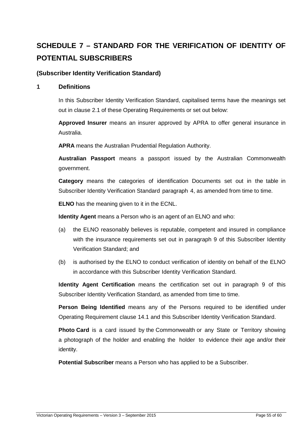# **SCHEDULE 7 – STANDARD FOR THE VERIFICATION OF IDENTITY OF POTENTIAL SUBSCRIBERS**

#### **(Subscriber Identity Verification Standard)**

#### **1 Definitions**

In this Subscriber Identity Verification Standard, capitalised terms have the meanings set out in clause 2.1 of these Operating Requirements or set out below:

**Approved Insurer** means an insurer approved by APRA to offer general insurance in Australia.

**APRA** means the Australian Prudential Regulation Authority.

**Australian Passport** means a passport issued by the Australian Commonwealth government.

**Category** means the categories of identification Documents set out in the table in Subscriber Identity Verification Standard paragraph 4, as amended from time to time.

**ELNO** has the meaning given to it in the ECNL.

**Identity Agent** means a Person who is an agent of an ELNO and who:

- (a) the ELNO reasonably believes is reputable, competent and insured in compliance with the insurance requirements set out in paragraph 9 of this Subscriber Identity Verification Standard; and
- (b) is authorised by the ELNO to conduct verification of identity on behalf of the ELNO in accordance with this Subscriber Identity Verification Standard.

**Identity Agent Certification** means the certification set out in paragraph 9 of this Subscriber Identity Verification Standard, as amended from time to time.

**Person Being Identified** means any of the Persons required to be identified under Operating Requirement clause 14.1 and this Subscriber Identity Verification Standard.

**Photo Card** is a card issued by the Commonwealth or any State or Territory showing a photograph of the holder and enabling the holder to evidence their age and/or their identity.

**Potential Subscriber** means a Person who has applied to be a Subscriber.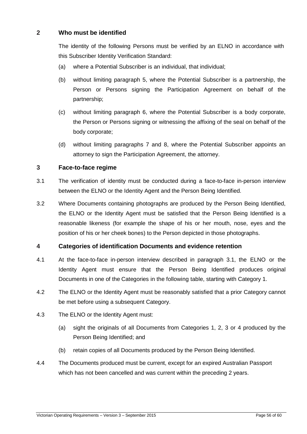#### **2 Who must be identified**

The identity of the following Persons must be verified by an ELNO in accordance with this Subscriber Identity Verification Standard:

- (a) where a Potential Subscriber is an individual, that individual;
- (b) without limiting paragraph 5, where the Potential Subscriber is a partnership, the Person or Persons signing the Participation Agreement on behalf of the partnership;
- (c) without limiting paragraph 6, where the Potential Subscriber is a body corporate, the Person or Persons signing or witnessing the affixing of the seal on behalf of the body corporate;
- (d) without limiting paragraphs 7 and 8, where the Potential Subscriber appoints an attorney to sign the Participation Agreement, the attorney.

#### **3 Face-to-face regime**

- 3.1 The verification of identity must be conducted during a face-to-face in-person interview between the ELNO or the Identity Agent and the Person Being Identified.
- 3.2 Where Documents containing photographs are produced by the Person Being Identified, the ELNO or the Identity Agent must be satisfied that the Person Being Identified is a reasonable likeness (for example the shape of his or her mouth, nose, eyes and the position of his or her cheek bones) to the Person depicted in those photographs.

#### **4 Categories of identification Documents and evidence retention**

- 4.1 At the face-to-face in-person interview described in paragraph 3.1, the ELNO or the Identity Agent must ensure that the Person Being Identified produces original Documents in one of the Categories in the following table, starting with Category 1.
- 4.2 The ELNO or the Identity Agent must be reasonably satisfied that a prior Category cannot be met before using a subsequent Category.
- 4.3 The ELNO or the Identity Agent must:
	- (a) sight the originals of all Documents from Categories 1, 2, 3 or 4 produced by the Person Being Identified; and
	- (b) retain copies of all Documents produced by the Person Being Identified.
- 4.4 The Documents produced must be current, except for an expired Australian Passport which has not been cancelled and was current within the preceding 2 years.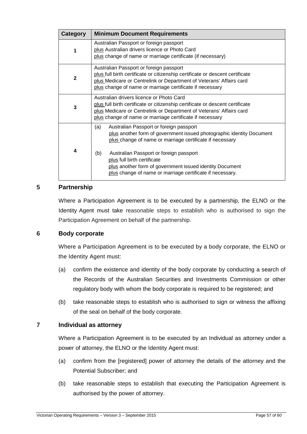| Category                | <b>Minimum Document Requirements</b>                                                                                                                                                                                                                                                                                                                                                          |  |  |  |
|-------------------------|-----------------------------------------------------------------------------------------------------------------------------------------------------------------------------------------------------------------------------------------------------------------------------------------------------------------------------------------------------------------------------------------------|--|--|--|
| 1                       | Australian Passport or foreign passport<br>plus Australian drivers licence or Photo Card<br>plus change of name or marriage certificate (if necessary)                                                                                                                                                                                                                                        |  |  |  |
| $\mathbf{2}$            | Australian Passport or foreign passport<br>plus full birth certificate or citizenship certificate or descent certificate<br>plus Medicare or Centrelink or Department of Veterans' Affairs card<br>plus change of name or marriage certificate if necessary                                                                                                                                   |  |  |  |
| 3                       | Australian drivers licence or Photo Card<br>plus full birth certificate or citizenship certificate or descent certificate<br>plus Medicare or Centrelink or Department of Veterans' Affairs card<br>plus change of name or marriage certificate if necessary                                                                                                                                  |  |  |  |
| $\overline{\mathbf{4}}$ | (a)<br>Australian Passport or foreign passport<br>plus another form of government issued photographic identity Document<br>plus change of name or marriage certificate if necessary<br>Australian Passport or foreign passport<br>(b)<br>plus full birth certificate<br>plus another form of government issued identity Document<br>plus change of name or marriage certificate if necessary. |  |  |  |

#### **5 Partnership**

Where a Participation Agreement is to be executed by a partnership, the ELNO or the Identity Agent must take reasonable steps to establish who is authorised to sign the Participation Agreement on behalf of the partnership.

#### **6 Body corporate**

Where a Participation Agreement is to be executed by a body corporate, the ELNO or the Identity Agent must:

- (a) confirm the existence and identity of the body corporate by conducting a search of the Records of the Australian Securities and Investments Commission or other regulatory body with whom the body corporate is required to be registered; and
- (b) take reasonable steps to establish who is authorised to sign or witness the affixing of the seal on behalf of the body corporate.

#### **7 Individual as attorney**

Where a Participation Agreement is to be executed by an Individual as attorney under a power of attorney, the ELNO or the Identity Agent must:

- (a) confirm from the [registered] power of attorney the details of the attorney and the Potential Subscriber; and
- (b) take reasonable steps to establish that executing the Participation Agreement is authorised by the power of attorney.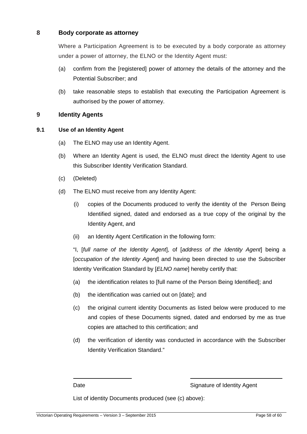#### **8 Body corporate as attorney**

Where a Participation Agreement is to be executed by a body corporate as attorney under a power of attorney, the ELNO or the Identity Agent must:

- (a) confirm from the [registered] power of attorney the details of the attorney and the Potential Subscriber; and
- (b) take reasonable steps to establish that executing the Participation Agreement is authorised by the power of attorney.

#### **9 Identity Agents**

#### **9.1 Use of an Identity Agent**

- (a) The ELNO may use an Identity Agent.
- (b) Where an Identity Agent is used, the ELNO must direct the Identity Agent to use this Subscriber Identity Verification Standard.
- (c) (Deleted)
- (d) The ELNO must receive from any Identity Agent:
	- (i) copies of the Documents produced to verify the identity of the Person Being Identified signed, dated and endorsed as a true copy of the original by the Identity Agent, and
	- (ii) an Identity Agent Certification in the following form:

"I, [full name of the Identity Agent], of [address of the Identity Agent] being a [occupation of the Identity Agent] and having been directed to use the Subscriber Identity Verification Standard by [ELNO name] hereby certify that:

- (a) the identification relates to [full name of the Person Being Identified]; and
- (b) the identification was carried out on [date]; and
- (c) the original current identity Documents as listed below were produced to me and copies of these Documents signed, dated and endorsed by me as true copies are attached to this certification; and
- (d) the verification of identity was conducted in accordance with the Subscriber Identity Verification Standard."

 $\overline{a}$ 

Date **Signature of Identity Agent** 

List of identity Documents produced (see (c) above):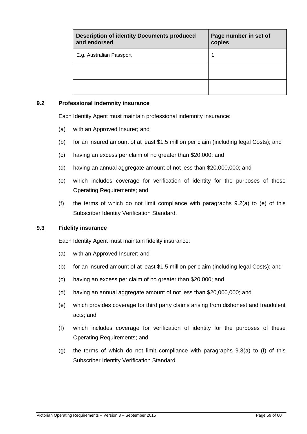| <b>Description of identity Documents produced</b><br>and endorsed | Page number in set of<br>copies |
|-------------------------------------------------------------------|---------------------------------|
| E.g. Australian Passport                                          |                                 |
|                                                                   |                                 |
|                                                                   |                                 |

#### **9.2 Professional indemnity insurance**

Each Identity Agent must maintain professional indemnity insurance:

- (a) with an Approved Insurer; and
- (b) for an insured amount of at least \$1.5 million per claim (including legal Costs); and
- (c) having an excess per claim of no greater than \$20,000; and
- (d) having an annual aggregate amount of not less than \$20,000,000; and
- (e) which includes coverage for verification of identity for the purposes of these Operating Requirements; and
- (f) the terms of which do not limit compliance with paragraphs 9.2(a) to (e) of this Subscriber Identity Verification Standard.

#### **9.3 Fidelity insurance**

Each Identity Agent must maintain fidelity insurance:

- (a) with an Approved Insurer; and
- (b) for an insured amount of at least \$1.5 million per claim (including legal Costs); and
- (c) having an excess per claim of no greater than \$20,000; and
- (d) having an annual aggregate amount of not less than \$20,000,000; and
- (e) which provides coverage for third party claims arising from dishonest and fraudulent acts; and
- (f) which includes coverage for verification of identity for the purposes of these Operating Requirements; and
- (g) the terms of which do not limit compliance with paragraphs 9.3(a) to (f) of this Subscriber Identity Verification Standard.